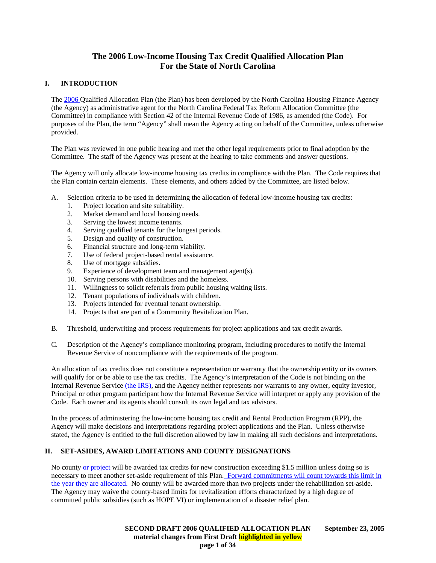# **The 2006 Low-Income Housing Tax Credit Qualified Allocation Plan For the State of North Carolina**

# **I. INTRODUCTION**

The 2006 Qualified Allocation Plan (the Plan) has been developed by the North Carolina Housing Finance Agency (the Agency) as administrative agent for the North Carolina Federal Tax Reform Allocation Committee (the Committee) in compliance with Section 42 of the Internal Revenue Code of 1986, as amended (the Code). For purposes of the Plan, the term "Agency" shall mean the Agency acting on behalf of the Committee, unless otherwise provided.

The Plan was reviewed in one public hearing and met the other legal requirements prior to final adoption by the Committee. The staff of the Agency was present at the hearing to take comments and answer questions.

The Agency will only allocate low-income housing tax credits in compliance with the Plan. The Code requires that the Plan contain certain elements. These elements, and others added by the Committee, are listed below.

- A. Selection criteria to be used in determining the allocation of federal low-income housing tax credits:
	- 1. Project location and site suitability.
	- 2. Market demand and local housing needs.
	- 3. Serving the lowest income tenants.
	- 4. Serving qualified tenants for the longest periods.
	- 5. Design and quality of construction.
	- 6. Financial structure and long-term viability.
	- 7. Use of federal project-based rental assistance.
	- 8. Use of mortgage subsidies.
	- 9. Experience of development team and management agent(s).
	- 10. Serving persons with disabilities and the homeless.
	- 11. Willingness to solicit referrals from public housing waiting lists.
	- 12. Tenant populations of individuals with children.
	- 13. Projects intended for eventual tenant ownership.
	- 14. Projects that are part of a Community Revitalization Plan.
- B. Threshold, underwriting and process requirements for project applications and tax credit awards.
- C. Description of the Agency's compliance monitoring program, including procedures to notify the Internal Revenue Service of noncompliance with the requirements of the program.

An allocation of tax credits does not constitute a representation or warranty that the ownership entity or its owners will qualify for or be able to use the tax credits. The Agency's interpretation of the Code is not binding on the Internal Revenue Service (the IRS), and the Agency neither represents nor warrants to any owner, equity investor, Principal or other program participant how the Internal Revenue Service will interpret or apply any provision of the Code. Each owner and its agents should consult its own legal and tax advisors.

In the process of administering the low-income housing tax credit and Rental Production Program (RPP), the Agency will make decisions and interpretations regarding project applications and the Plan. Unless otherwise stated, the Agency is entitled to the full discretion allowed by law in making all such decisions and interpretations.

# **II. SET-ASIDES, AWARD LIMITATIONS AND COUNTY DESIGNATIONS**

No county or project-will be awarded tax credits for new construction exceeding \$1.5 million unless doing so is necessary to meet another set-aside requirement of this Plan. Forward commitments will count towards this limit in the year they are allocated. No county will be awarded more than two projects under the rehabilitation set-aside. The Agency may waive the county-based limits for revitalization efforts characterized by a high degree of committed public subsidies (such as HOPE VI) or implementation of a disaster relief plan.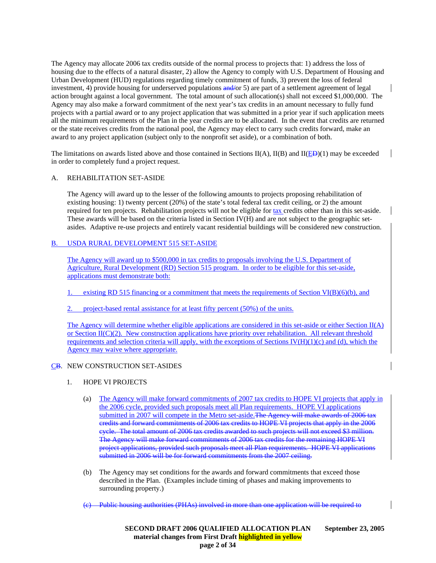The Agency may allocate 2006 tax credits outside of the normal process to projects that: 1) address the loss of housing due to the effects of a natural disaster, 2) allow the Agency to comply with U.S. Department of Housing and Urban Development (HUD) regulations regarding timely commitment of funds, 3) prevent the loss of federal investment, 4) provide housing for underserved populations  $\frac{and}{or}$  5) are part of a settlement agreement of legal action brought against a local government. The total amount of such allocation(s) shall not exceed \$1,000,000. The Agency may also make a forward commitment of the next year's tax credits in an amount necessary to fully fund projects with a partial award or to any project application that was submitted in a prior year if such application meets all the minimum requirements of the Plan in the year credits are to be allocated. In the event that credits are returned or the state receives credits from the national pool, the Agency may elect to carry such credits forward, make an award to any project application (subject only to the nonprofit set aside), or a combination of both.

The limitations on awards listed above and those contained in Sections II(A), II(B) and II(ED)(1) may be exceeded in order to completely fund a project request.

### A. REHABILITATION SET-ASIDE

The Agency will award up to the lesser of the following amounts to projects proposing rehabilitation of existing housing: 1) twenty percent (20%) of the state's total federal tax credit ceiling, or 2) the amount required for ten projects. Rehabilitation projects will not be eligible for tax credits other than in this set-aside. These awards will be based on the criteria listed in Section IV(H) and are not subject to the geographic setasides. Adaptive re-use projects and entirely vacant residential buildings will be considered new construction.

# B. USDA RURAL DEVELOPMENT 515 SET-ASIDE

The Agency will award up to \$500,000 in tax credits to proposals involving the U.S. Department of Agriculture, Rural Development (RD) Section 515 program. In order to be eligible for this set-aside, applications must demonstrate both:

- existing RD 515 financing or a commitment that meets the requirements of Section VI(B)(6)(b), and
- project-based rental assistance for at least fifty percent (50%) of the units.

The Agency will determine whether eligible applications are considered in this set-aside or either Section II(A) or Section II(C)(2). New construction applications have priority over rehabilitation. All relevant threshold requirements and selection criteria will apply, with the exceptions of Sections IV( $H$ )(1)(c) and (d), which the Agency may waive where appropriate.

### CB. NEW CONSTRUCTION SET-ASIDES

- 1. HOPE VI PROJECTS
	- (a) The Agency will make forward commitments of 2007 tax credits to HOPE VI projects that apply in the 2006 cycle, provided such proposals meet all Plan requirements. HOPE VI applications submitted in 2007 will compete in the Metro set-aside. The Agency will make awards of 2006 tax credits and forward commitments of 2006 tax credits to HOPE VI projects that apply in the 2006 cycle. The total amount of 2006 tax credits awarded to such projects will not exceed \$3 million. The Agency will make forward commitments of 2006 tax credits for the remaining HOPE VI project applications, provided such proposals meet all Plan requirements. HOPE VI applications submitted in 2006 will be for forward commitments from the 2007 ceiling.
	- (b) The Agency may set conditions for the awards and forward commitments that exceed those described in the Plan. (Examples include timing of phases and making improvements to surrounding property.)
	- Public housing authorities (PHAs) involved in more than one application will be required to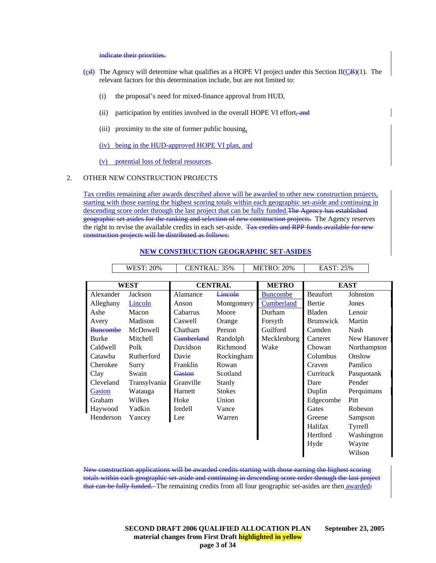#### indicate their priorities.

- $(c_d)$  The Agency will determine what qualifies as a HOPE VI project under this Section II( $\angle$ B)(1). The relevant factors for this determination include, but are not limited to:
	- (i) the proposal's need for mixed-finance approval from HUD,
	- (ii) participation by entities involved in the overall HOPE VI effort, and
	- (iii) proximity to the site of former public housing,
	- (iv) being in the HUD-approved HOPE VI plan, and
	- (v) potential loss of federal resources.

#### 2. OTHER NEW CONSTRUCTION PROJECTS

Tax credits remaining after awards described above will be awarded to other new construction projects, starting with those earning the highest scoring totals within each geographic set-aside and continuing in descending score order through the last project that can be fully funded. The Agency has established geographic set asides for the ranking and selection of new construction projects. The Agency reserves the right to revise the available credits in each set-aside. Tax credits and RPP funds available for new construction projects will be distributed as follows:

|                 | <b>WEST: 20%</b> | CENTRAL: 35%      |               |  | <b>METRO: 20%</b> | EAST: 25%        |             |
|-----------------|------------------|-------------------|---------------|--|-------------------|------------------|-------------|
|                 |                  |                   |               |  |                   |                  |             |
| <b>WEST</b>     |                  | <b>CENTRAL</b>    |               |  | <b>METRO</b>      |                  | <b>EAST</b> |
| Alexander       | Jackson          | Alamance          | Lincoln       |  | <b>Buncombe</b>   | Beaufort         | Johnston    |
| Alleghany       | Lincoln          | Anson             | Montgomery    |  | Cumberland        | Bertie           | Jones       |
| Ashe            | Macon            | Cabarrus          | Moore         |  | Durham            | Bladen           | Lenoir      |
| Avery           | Madison          | Caswell           | Orange        |  | Forsyth           | <b>Brunswick</b> | Martin      |
| <b>Buncombe</b> | McDowell         | Chatham           | Person        |  | Guilford          | Camden           | Nash        |
| <b>Burke</b>    | Mitchell         | <b>Cumberland</b> | Randolph      |  | Mecklenburg       | Carteret         | New Hanover |
| Caldwell        | Polk             | Davidson          | Richmond      |  | Wake              | Chowan           | Northampton |
| Catawba         | Rutherford       | Davie             | Rockingham    |  |                   | Columbus         | Onslow      |
| Cherokee        | Surry            | Franklin          | Rowan         |  |                   | Craven           | Pamlico     |
| Clay            | Swain            | Gaston            | Scotland      |  |                   | Currituck        | Pasquotank  |
| Cleveland       | Transylvania     | Granville         | Stanly        |  |                   | Dare             | Pender      |
| Gaston          | Watauga          | Harnett           | <b>Stokes</b> |  |                   | Duplin           | Perquimans  |
| Graham          | Wilkes           | Hoke              | Union         |  |                   | Edgecombe        | Pitt        |
| Haywood         | Yadkin           | Iredell           | Vance         |  |                   | Gates            | Robeson     |
| Henderson       | Yancey           | Lee               | Warren        |  |                   | Greene           | Sampson     |
|                 |                  |                   |               |  |                   | Halifax          | Tyrrell     |
|                 |                  |                   |               |  |                   | Hertford         | Washington  |
|                 |                  |                   |               |  |                   | Hyde             | Wayne       |
|                 |                  |                   |               |  |                   |                  | Wilson      |

#### **NEW CONSTRUCTION GEOGRAPHIC SET-ASIDES**

New construction applications will be awarded credits starting with those earning the highest scoring totals within each geographic set-aside and continuing in descending score order through the last project that can be fully funded. The remaining credits from all four geographic set-asides are then awarded:

#### **SECOND DRAFT 2006 QUALIFIED ALLOCATION PLAN September 23, 2005 material changes from First Draft highlighted in yellow page 3 of 34**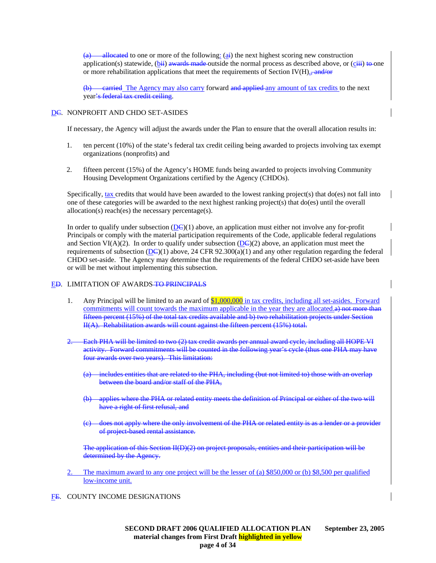(a) allocated to one or more of the following:  $(a<sup>i</sup>)$  the next highest scoring new construction application(s) statewide,  $(bii)$  awards made outside the normal process as described above, or (ciii) to one or more rehabilitation applications that meet the requirements of Section IV(H). $\frac{1}{2}$  and/or

earried The Agency may also carry forward and applied any amount of tax credits to the next year's federal tax credit ceiling.

### D<del>C</del>. NONPROFIT AND CHDO SET-ASIDES

If necessary, the Agency will adjust the awards under the Plan to ensure that the overall allocation results in:

- 1. ten percent (10%) of the state's federal tax credit ceiling being awarded to projects involving tax exempt organizations (nonprofits) and
- 2. fifteen percent (15%) of the Agency's HOME funds being awarded to projects involving Community Housing Development Organizations certified by the Agency (CHDOs).

Specifically, tax credits that would have been awarded to the lowest ranking project(s) that do(es) not fall into one of these categories will be awarded to the next highest ranking project(s) that do(es) until the overall allocation(s) reach(es) the necessary percentage(s).

In order to qualify under subsection  $(DE)(1)$  above, an application must either not involve any for-profit Principals or comply with the material participation requirements of the Code, applicable federal regulations and Section VI(A)(2). In order to qualify under subsection (DC)(2) above, an application must meet the requirements of subsection  $(DC)(1)$  above, 24 CFR 92.300(a)(1) and any other regulation regarding the federal CHDO set-aside. The Agency may determine that the requirements of the federal CHDO set-aside have been or will be met without implementing this subsection.

### ED. LIMITATION OF AWARDS TO PRINCIPALS

- 1. Any Principal will be limited to an award of \$1,000,000 in tax credits, including all set-asides. Forward commitments will count towards the maximum applicable in the year they are allocated.a) not more than fifteen percent (15%) of the total tax credits available and b) two rehabilitation projects under Section II(A). Rehabilitation awards will count against the fifteen percent (15%) total.
- 2. Each PHA will be limited to two (2) tax credit awards per annual award cycle, including all HOPE VI activity. Forward commitments will be counted in the following year's cycle (thus one PHA may have four awards over two years). This limitation:
	- (a) includes entities that are related to the PHA, including (but not limited to) those with an overlap between the board and/or staff of the PHA,
	- applies where the PHA or related entity meets the definition of Principal or either of the two will have a right of first refusal, and
	- does not apply where the only involvement of the PHA or related entity is as a lender or a provider of project-based rental assistance.

The application of this Section II(D)(2) on project proposals, entities and their participation will be determined by the Agency.

- 2. The maximum award to any one project will be the lesser of (a) \$850,000 or (b) \$8,500 per qualified low-income unit.
- FE. COUNTY INCOME DESIGNATIONS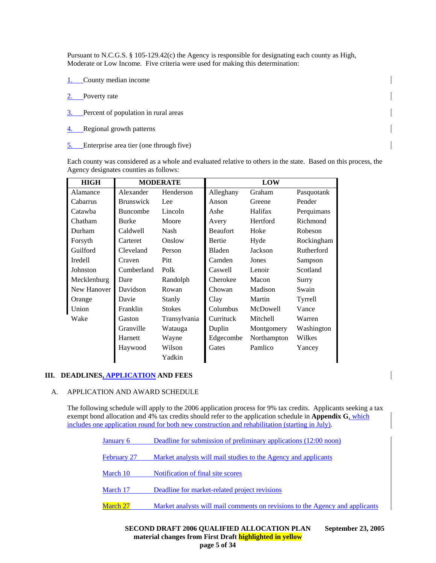Pursuant to N.C.G.S. § 105-129.42(c) the Agency is responsible for designating each county as High, Moderate or Low Income. Five criteria were used for making this determination:

- 1. County median income
- 2. Poverty rate
- 3. Percent of population in rural areas
- 4. Regional growth patterns
- 5. Enterprise area tier (one through five)

Each county was considered as a whole and evaluated relative to others in the state. Based on this process, the Agency designates counties as follows:

| <b>HIGH</b>    | <b>MODERATE</b>  |               | <b>LOW</b>      |             |            |  |
|----------------|------------------|---------------|-----------------|-------------|------------|--|
| Alamance       | Alexander        | Henderson     | Alleghany       | Graham      | Pasquotank |  |
| Cabarrus       | <b>Brunswick</b> | Lee           | Anson           | Greene      | Pender     |  |
| Catawba        | <b>Buncombe</b>  | Lincoln       | Ashe            | Halifax     | Perquimans |  |
| Chatham        | <b>Burke</b>     | Moore         | Avery           | Hertford    | Richmond   |  |
| Durham         | Caldwell         | Nash          | <b>Beaufort</b> | Hoke        | Robeson    |  |
| Forsyth        | Carteret         | Onslow        | Bertie          | Hyde        | Rockingham |  |
| Guilford       | Cleveland        | Person        | <b>Bladen</b>   | Jackson     | Rutherford |  |
| <b>Iredell</b> | Craven           | <b>Pitt</b>   | Camden          | Jones       | Sampson    |  |
| Johnston       | Cumberland       | Polk          | Caswell         | Lenoir      | Scotland   |  |
| Mecklenburg    | Dare             | Randolph      | Cherokee        | Macon       | Surry      |  |
| New Hanover    | Davidson         | Rowan         | Chowan          | Madison     | Swain      |  |
| Orange         | Davie            | Stanly        | Clay            | Martin      | Tyrrell    |  |
| Union          | Franklin         | <b>Stokes</b> | Columbus        | McDowell    | Vance      |  |
| Wake           | Gaston           | Transylvania  | Currituck       | Mitchell    | Warren     |  |
|                | Granville        | Watauga       | Duplin          | Montgomery  | Washington |  |
|                | Harnett          | Wayne         | Edgecombe       | Northampton | Wilkes     |  |
|                | Haywood          | Wilson        | Gates           | Pamlico     | Yancey     |  |
|                |                  | Yadkin        |                 |             |            |  |

# **III. DEADLINES, APPLICATION AND FEES**

#### A. APPLICATION AND AWARD SCHEDULE

The following schedule will apply to the 2006 application process for 9% tax credits. Applicants seeking a tax exempt bond allocation and 4% tax credits should refer to the application schedule in **Appendix G**, which includes one application round for both new construction and rehabilitation (starting in July).

| January 6       | Deadline for submission of preliminary applications (12:00 noon)             |
|-----------------|------------------------------------------------------------------------------|
| February 27     | Market analysts will mail studies to the Agency and applicants               |
| March 10        | Notification of final site scores                                            |
| March 17        | Deadline for market-related project revisions                                |
| <b>March 27</b> | Market analysts will mail comments on revisions to the Agency and applicants |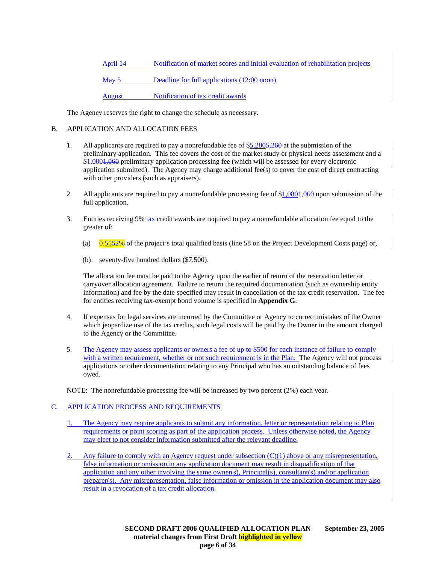April 14 Notification of market scores and initial evaluation of rehabilitation projects

May 5 Deadline for full applications (12:00 noon)

August Notification of tax credit awards

The Agency reserves the right to change the schedule as necessary.

# B. APPLICATION AND ALLOCATION FEES

- 1. All applicants are required to pay a nonrefundable fee of \$5,2805,260 at the submission of the preliminary application. This fee covers the cost of the market study or physical needs assessment and a \$1,0801,060 preliminary application processing fee (which will be assessed for every electronic application submitted). The Agency may charge additional fee(s) to cover the cost of direct contracting with other providers (such as appraisers).
- 2. All applicants are required to pay a nonrefundable processing fee of  $\frac{$1,0804,060}{1,0804,060}$  upon submission of the full application.
- 3. Entities receiving 9% tax credit awards are required to pay a nonrefundable allocation fee equal to the greater of:
	- (a)  $0.5552\%$  of the project's total qualified basis (line 58 on the Project Development Costs page) or,
	- (b) seventy-five hundred dollars (\$7,500).

The allocation fee must be paid to the Agency upon the earlier of return of the reservation letter or carryover allocation agreement. Failure to return the required documentation (such as ownership entity information) and fee by the date specified may result in cancellation of the tax credit reservation. The fee for entities receiving tax-exempt bond volume is specified in **Appendix G**.

- 4. If expenses for legal services are incurred by the Committee or Agency to correct mistakes of the Owner which jeopardize use of the tax credits, such legal costs will be paid by the Owner in the amount charged to the Agency or the Committee.
- 5. The Agency may assess applicants or owners a fee of up to \$500 for each instance of failure to comply with a written requirement, whether or not such requirement is in the Plan. The Agency will not process applications or other documentation relating to any Principal who has an outstanding balance of fees owed.

NOTE: The nonrefundable processing fee will be increased by two percent (2%) each year.

# APPLICATION PROCESS AND REQUIREMENTS

- 1. The Agency may require applicants to submit any information, letter or representation relating to Plan requirements or point scoring as part of the application process. Unless otherwise noted, the Agency may elect to not consider information submitted after the relevant deadline.
- Any failure to comply with an Agency request under subsection  $(C)(1)$  above or any misrepresentation, false information or omission in any application document may result in disqualification of that application and any other involving the same owner(s), Principal(s), consultant(s) and/or application preparer(s). Any misrepresentation, false information or omission in the application document may also result in a revocation of a tax credit allocation.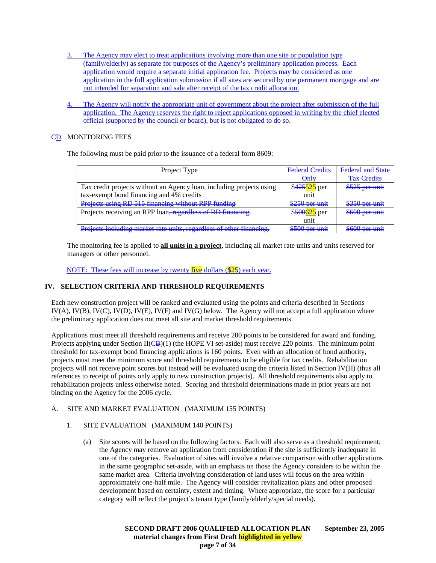- 3. The Agency may elect to treat applications involving more than one site or population type (family/elderly) as separate for purposes of the Agency's preliminary application process. Each application would require a separate initial application fee. Projects may be considered as one application in the full application submission if all sites are secured by one permanent mortgage and are not intended for separation and sale after receipt of the tax credit allocation.
- The Agency will notify the appropriate unit of government about the project after submission of the full application. The Agency reserves the right to reject applications opposed in writing by the chief elected official (supported by the council or board), but is not obligated to do so.

# CD. MONITORING FEES

The following must be paid prior to the issuance of a federal form 8609:

| Project Type                                                         | <b>Federal Credits</b>                    | <b>Federal and State</b>                  |
|----------------------------------------------------------------------|-------------------------------------------|-------------------------------------------|
|                                                                      | $\Theta$ nl $\forall$                     | <b>Tax Credits</b>                        |
| Tax credit projects without an Agency loan, including projects using | \$425525 per                              | \$525 per unit                            |
| tax-exempt bond financing and 4% credits                             | unit                                      |                                           |
| Projects using RD 515 financing without RPP funding                  | $$250$ per unit                           | $250$ par unit<br><del>JJJV DCI UMI</del> |
| Projects receiving an RPP loan, regardless of RD financing.          | $$500625$ per                             | \$600 per unit                            |
|                                                                      | unit                                      |                                           |
| Projects including market rate units, regardless of other financing. | $\sqrt{6500 \text{ per unit}}$<br>www.com | $C \cap \text{Part unit}$<br>www.com      |

The monitoring fee is applied to **all units in a project**, including all market rate units and units reserved for managers or other personnel.

NOTE: These fees will increase by twenty five dollars (\$25) each year.

# **IV. SELECTION CRITERIA AND THRESHOLD REQUIREMENTS**

Each new construction project will be ranked and evaluated using the points and criteria described in Sections IV(A), IV(B), IV(C), IV(D), IV(E), IV(F) and IV(G) below. The Agency will not accept a full application where the preliminary application does not meet all site and market threshold requirements.

Applications must meet all threshold requirements and receive 200 points to be considered for award and funding. Projects applying under Section  $II(\angle B)(1)$  (the HOPE VI set-aside) must receive 220 points. The minimum point threshold for tax-exempt bond financing applications is 160 points. Even with an allocation of bond authority, projects must meet the minimum score and threshold requirements to be eligible for tax credits. Rehabilitation projects will not receive point scores but instead will be evaluated using the criteria listed in Section IV(H) (thus all references to receipt of points only apply to new construction projects). All threshold requirements also apply to rehabilitation projects unless otherwise noted. Scoring and threshold determinations made in prior years are not binding on the Agency for the 2006 cycle.

# A. SITE AND MARKET EVALUATION (MAXIMUM 155 POINTS)

# 1. SITE EVALUATION (MAXIMUM 140 POINTS)

(a) Site scores will be based on the following factors. Each will also serve as a threshold requirement; the Agency may remove an application from consideration if the site is sufficiently inadequate in one of the categories. Evaluation of sites will involve a relative comparison with other applications in the same geographic set-aside, with an emphasis on those the Agency considers to be within the same market area. Criteria involving consideration of land uses will focus on the area within approximately one-half mile. The Agency will consider revitalization plans and other proposed development based on certainty, extent and timing. Where appropriate, the score for a particular category will reflect the project's tenant type (family/elderly/special needs).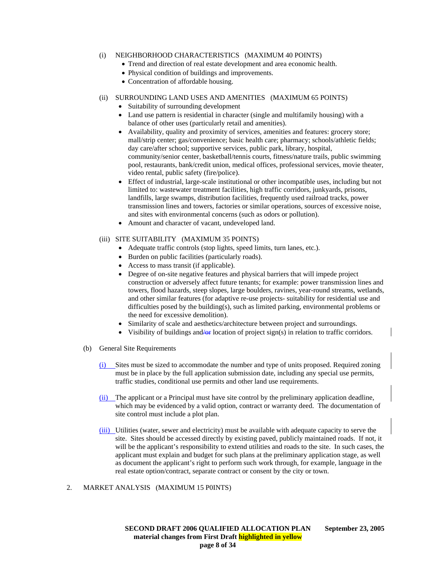### (i) NEIGHBORHOOD CHARACTERISTICS (MAXIMUM 40 POINTS)

- Trend and direction of real estate development and area economic health.
- Physical condition of buildings and improvements.
- Concentration of affordable housing.

# (ii) SURROUNDING LAND USES AND AMENITIES (MAXIMUM 65 POINTS)

- Suitability of surrounding development
- Land use pattern is residential in character (single and multifamily housing) with a balance of other uses (particularly retail and amenities).
- Availability, quality and proximity of services, amenities and features: grocery store; mall/strip center; gas/convenience; basic health care; pharmacy; schools/athletic fields; day care/after school; supportive services, public park, library, hospital, community/senior center, basketball/tennis courts, fitness/nature trails, public swimming pool, restaurants, bank/credit union, medical offices, professional services, movie theater, video rental, public safety (fire/police).
- Effect of industrial, large-scale institutional or other incompatible uses, including but not limited to: wastewater treatment facilities, high traffic corridors, junkyards, prisons, landfills, large swamps, distribution facilities, frequently used railroad tracks, power transmission lines and towers, factories or similar operations, sources of excessive noise, and sites with environmental concerns (such as odors or pollution).
- Amount and character of vacant, undeveloped land.

### (iii) SITE SUITABILITY (MAXIMUM 35 POINTS)

- Adequate traffic controls (stop lights, speed limits, turn lanes, etc.).
- Burden on public facilities (particularly roads).
- Access to mass transit (if applicable).
- Degree of on-site negative features and physical barriers that will impede project construction or adversely affect future tenants; for example: power transmission lines and towers, flood hazards, steep slopes, large boulders, ravines, year-round streams, wetlands, and other similar features (for adaptive re-use projects- suitability for residential use and difficulties posed by the building(s), such as limited parking, environmental problems or the need for excessive demolition).
- Similarity of scale and aesthetics/architecture between project and surroundings.
- Visibility of buildings and/or location of project sign(s) in relation to traffic corridors.
- (b) General Site Requirements
	- (i) Sites must be sized to accommodate the number and type of units proposed. Required zoning must be in place by the full application submission date, including any special use permits, traffic studies, conditional use permits and other land use requirements.
	- (ii) The applicant or a Principal must have site control by the preliminary application deadline, which may be evidenced by a valid option, contract or warranty deed. The documentation of site control must include a plot plan.
	- (iii) Utilities (water, sewer and electricity) must be available with adequate capacity to serve the site. Sites should be accessed directly by existing paved, publicly maintained roads. If not, it will be the applicant's responsibility to extend utilities and roads to the site. In such cases, the applicant must explain and budget for such plans at the preliminary application stage, as well as document the applicant's right to perform such work through, for example, language in the real estate option/contract, separate contract or consent by the city or town.

#### 2. MARKET ANALYSIS (MAXIMUM 15 P0INTS)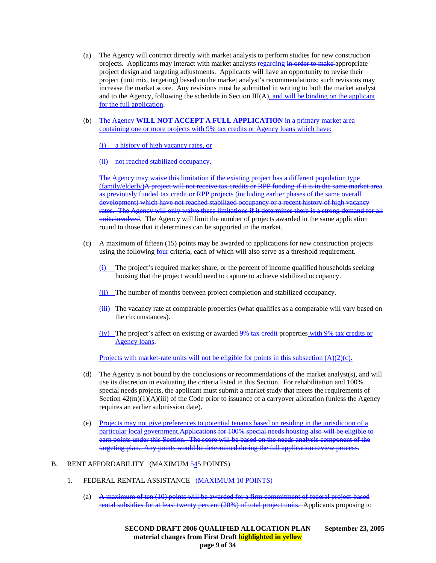- (a) The Agency will contract directly with market analysts to perform studies for new construction projects. Applicants may interact with market analysts regarding in order to make appropriate project design and targeting adjustments. Applicants will have an opportunity to revise their project (unit mix, targeting) based on the market analyst's recommendations; such revisions may increase the market score. Any revisions must be submitted in writing to both the market analyst and to the Agency, following the schedule in Section III(A), and will be binding on the applicant for the full application.
- (b) The Agency **WILL NOT ACCEPT A FULL APPLICATION** in a primary market area containing one or more projects with 9% tax credits or Agency loans which have:

(i) a history of high vacancy rates, or

(ii) not reached stabilized occupancy.

The Agency may waive this limitation if the existing project has a different population type (family/elderly)A project will not receive tax credits or RPP funding if it is in the same market area as previously funded tax credit or RPP projects (including earlier phases of the same overall development) which have not reached stabilized occupancy or a recent history of high vacancy rates. The Agency will only waive these limitations if it determines there is a strong demand for all units involved. The Agency will limit the number of projects awarded in the same application round to those that it determines can be supported in the market.

- (c) A maximum of fifteen (15) points may be awarded to applications for new construction projects using the following four criteria, each of which will also serve as a threshold requirement.
	- The project's required market share, or the percent of income qualified households seeking housing that the project would need to capture to achieve stabilized occupancy.
	- (ii) The number of months between project completion and stabilized occupancy.
	- (iii) The vacancy rate at comparable properties (what qualifies as a comparable will vary based on the circumstances).
	- (iv) The project's affect on existing or awarded 9% tax credit properties with 9% tax credits or Agency loans.

Projects with market-rate units will not be eligible for points in this subsection  $(A)(2)(c)$ .

- (d) The Agency is not bound by the conclusions or recommendations of the market analyst(s), and will use its discretion in evaluating the criteria listed in this Section. For rehabilitation and 100% special needs projects, the applicant must submit a market study that meets the requirements of Section  $42(m)(1)(A)(iii)$  of the Code prior to issuance of a carryover allocation (unless the Agency requires an earlier submission date).
- (e) Projects may not give preferences to potential tenants based on residing in the jurisdiction of a particular local government.Applications for 100% special needs housing also will be eligible to earn points under this Section. The score will be based on the needs analysis component of the targeting plan. Any points would be determined during the full application review process.

#### B. RENT AFFORDABILITY (MAXIMUM 545 POINTS)

- 1. FEDERAL RENTAL ASSISTANCE (MAXIMUM 10 POINTS)
	- (a) A maximum of ten (10) points will be awarded for a firm commitment of federal project-based rental subsidies for at least twenty percent (20%) of total project units. Applicants proposing to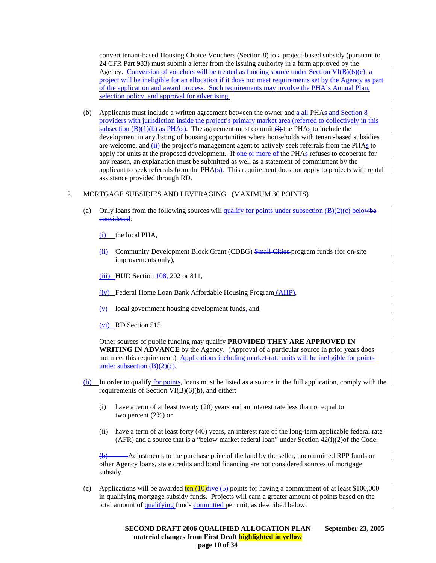convert tenant-based Housing Choice Vouchers (Section 8) to a project-based subsidy (pursuant to 24 CFR Part 983) must submit a letter from the issuing authority in a form approved by the Agency. Conversion of vouchers will be treated as funding source under Section VI(B)(6)(c); a project will be ineligible for an allocation if it does not meet requirements set by the Agency as part of the application and award process. Such requirements may involve the PHA's Annual Plan, selection policy, and approval for advertising.

- (b) Applicants must include a written agreement between the owner and  $\alpha$  all PHAs and Section 8 providers with jurisdiction inside the project's primary market area (referred to collectively in this subsection  $(B)(1)(b)$  as PHAs). The agreement must commit  $(i)$  the PHAs to include the development in any listing of housing opportunities where households with tenant-based subsidies are welcome, and  $\overline{(+)}$  the project's management agent to actively seek referrals from the PHAs to apply for units at the proposed development. If one or more of the PHAs refuses to cooperate for any reason, an explanation must be submitted as well as a statement of commitment by the applicant to seek referrals from the  $PHA(s)$ . This requirement does not apply to projects with rental assistance provided through RD.
- 2. MORTGAGE SUBSIDIES AND LEVERAGING (MAXIMUM 30 POINTS)
	- (a) Only loans from the following sources will qualify for points under subsection  $(B)(2)(c)$  belowbe considered:
		- (i) the local PHA,
		- (ii) Community Development Block Grant (CDBG) Small Cities program funds (for on-site improvements only),

(iii) HUD Section  $\frac{108}{6}$ , 202 or 811,

- (iv) Federal Home Loan Bank Affordable Housing Program (AHP),
- (v) local government housing development funds, and
- (vi) RD Section 515.

Other sources of public funding may qualify **PROVIDED THEY ARE APPROVED IN WRITING IN ADVANCE** by the Agency. (Approval of a particular source in prior years does not meet this requirement.) Applications including market-rate units will be ineligible for points under subsection  $(B)(2)(c)$ .

- (b) In order to qualify for points, loans must be listed as a source in the full application, comply with the requirements of Section VI(B)(6)(b), and either:
	- (i) have a term of at least twenty (20) years and an interest rate less than or equal to two percent (2%) or
	- (ii) have a term of at least forty (40) years, an interest rate of the long-term applicable federal rate (AFR) and a source that is a "below market federal loan" under Section 42(i)(2)of the Code.

(b) Adjustments to the purchase price of the land by the seller, uncommitted RPP funds or other Agency loans, state credits and bond financing are not considered sources of mortgage subsidy.

(c) Applications will be awarded  $\frac{\text{ten } (10)}{\text{five } (5)}$  points for having a commitment of at least \$100,000 in qualifying mortgage subsidy funds. Projects will earn a greater amount of points based on the total amount of qualifying funds committed per unit, as described below: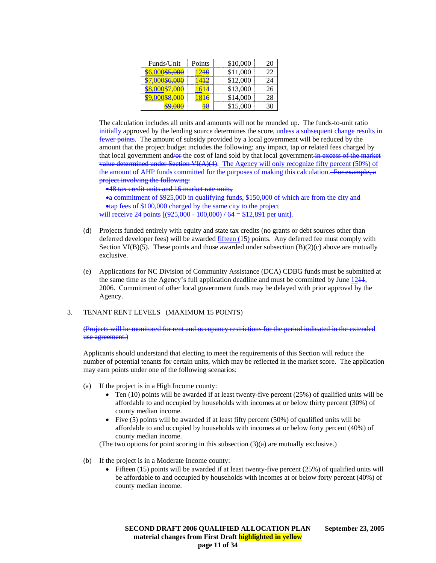| Funds/Unit        | Points | \$10,000 |  |
|-------------------|--------|----------|--|
| 000\$5,000        | 240    | \$11,000 |  |
| 00\$6,000         |        | \$12,000 |  |
| <del>157.UU</del> | ב⊢ר    | \$13,000 |  |
|                   |        | \$14,000 |  |
|                   |        | 15,000   |  |

The calculation includes all units and amounts will not be rounded up. The funds-to-unit ratio initially approved by the lending source determines the score, unless a subsequent change results in fewer points. The amount of subsidy provided by a local government will be reduced by the amount that the project budget includes the following: any impact, tap or related fees charged by that local government and out of land sold by that local government in excess of the market value determined under Section VI(A)(4). The Agency will only recognize fifty percent (50%) of the amount of AHP funds committed for the purposes of making this calculation. For example, a project involving the following:

•48 tax credit units and 16 market rate units,

•a commitment of \$925,000 in qualifying funds, \$150,000 of which are from the city and •tap fees of \$100,000 charged by the same city to the project

will receive 24 points  $[(925,000 - 100,000) / 64 = $12,891$  per unit].

- (d) Projects funded entirely with equity and state tax credits (no grants or debt sources other than deferred developer fees) will be awarded fifteen (15) points. Any deferred fee must comply with Section VI(B)(5). These points and those awarded under subsection  $(B)(2)(c)$  above are mutually exclusive.
- (e) Applications for NC Division of Community Assistance (DCA) CDBG funds must be submitted at the same time as the Agency's full application deadline and must be committed by June  $1244$ , 2006. Commitment of other local government funds may be delayed with prior approval by the Agency.

# 3. TENANT RENT LEVELS (MAXIMUM 15 POINTS)

(Projects will be monitored for rent and occupancy restrictions for the period indicated in the extended use agreement.)

Applicants should understand that electing to meet the requirements of this Section will reduce the number of potential tenants for certain units, which may be reflected in the market score. The application may earn points under one of the following scenarios:

- (a) If the project is in a High Income county:
	- Ten (10) points will be awarded if at least twenty-five percent (25%) of qualified units will be affordable to and occupied by households with incomes at or below thirty percent (30%) of county median income.
	- Five (5) points will be awarded if at least fifty percent (50%) of qualified units will be affordable to and occupied by households with incomes at or below forty percent (40%) of county median income.
	- (The two options for point scoring in this subsection  $(3)(a)$  are mutually exclusive.)
- (b) If the project is in a Moderate Income county:
	- Fifteen (15) points will be awarded if at least twenty-five percent (25%) of qualified units will be affordable to and occupied by households with incomes at or below forty percent (40%) of county median income.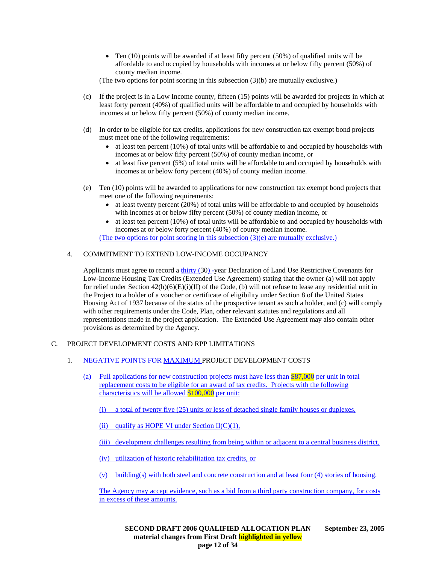• Ten  $(10)$  points will be awarded if at least fifty percent  $(50%)$  of qualified units will be affordable to and occupied by households with incomes at or below fifty percent (50%) of county median income.

(The two options for point scoring in this subsection  $(3)(b)$  are mutually exclusive.)

- (c) If the project is in a Low Income county, fifteen (15) points will be awarded for projects in which at least forty percent (40%) of qualified units will be affordable to and occupied by households with incomes at or below fifty percent (50%) of county median income.
- (d) In order to be eligible for tax credits, applications for new construction tax exempt bond projects must meet one of the following requirements:
	- at least ten percent (10%) of total units will be affordable to and occupied by households with incomes at or below fifty percent (50%) of county median income, or
	- at least five percent (5%) of total units will be affordable to and occupied by households with incomes at or below forty percent (40%) of county median income.
- (e) Ten (10) points will be awarded to applications for new construction tax exempt bond projects that meet one of the following requirements:
	- at least twenty percent (20%) of total units will be affordable to and occupied by households with incomes at or below fifty percent (50%) of county median income, or
	- at least ten percent (10%) of total units will be affordable to and occupied by households with incomes at or below forty percent (40%) of county median income. (The two options for point scoring in this subsection (3)(e) are mutually exclusive.)

# 4. COMMITMENT TO EXTEND LOW-INCOME OCCUPANCY

Applicants must agree to record a thirty (30) -year Declaration of Land Use Restrictive Covenants for Low-Income Housing Tax Credits (Extended Use Agreement) stating that the owner (a) will not apply for relief under Section  $42(h)(6)(E)(i)(II)$  of the Code, (b) will not refuse to lease any residential unit in the Project to a holder of a voucher or certificate of eligibility under Section 8 of the United States Housing Act of 1937 because of the status of the prospective tenant as such a holder, and (c) will comply with other requirements under the Code, Plan, other relevant statutes and regulations and all representations made in the project application. The Extended Use Agreement may also contain other provisions as determined by the Agency.

# C. PROJECT DEVELOPMENT COSTS AND RPP LIMITATIONS

# 1. NEGATIVE POINTS FOR MAXIMUM PROJECT DEVELOPMENT COSTS

- (a) Full applications for new construction projects must have less than \$87,000 per unit in total replacement costs to be eligible for an award of tax credits. Projects with the following characteristics will be allowed \$100,000 per unit:
	- (i) a total of twenty five (25) units or less of detached single family houses or duplexes,
	- (ii) qualify as HOPE VI under Section  $II(C)(1)$ ,
	- (iii) development challenges resulting from being within or adjacent to a central business district,

(iv) utilization of historic rehabilitation tax credits, or

(v) building(s) with both steel and concrete construction and at least four (4) stories of housing.

The Agency may accept evidence, such as a bid from a third party construction company, for costs in excess of these amounts.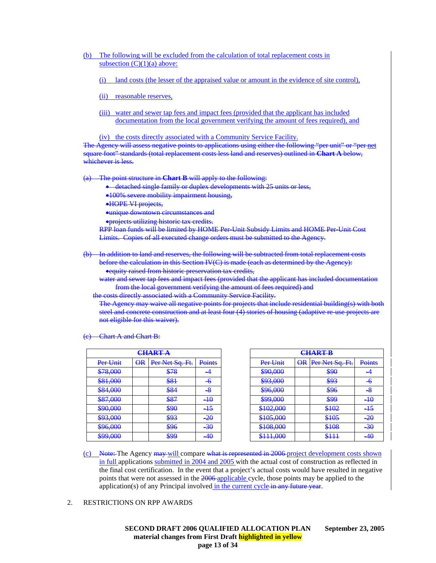- (b) The following will be excluded from the calculation of total replacement costs in subsection  $(C)(1)(a)$  above:
	- (i) land costs (the lesser of the appraised value or amount in the evidence of site control),
	- (ii) reasonable reserves,
	- (iii) water and sewer tap fees and impact fees (provided that the applicant has included documentation from the local government verifying the amount of fees required), and

(iv) the costs directly associated with a Community Service Facility.

The Agency will assess negative points to applications using either the following "per unit" or "per net square foot" standards (total replacement costs less land and reserves) outlined in **Chart A** below, whichever is less.

The point structure in **Chart B** will apply to the following:

- detached single family or duplex developments with 25 units or less,
- •100% severe mobility impairment housing,
- •HOPE VI projects,
- •unique downtown circumstances and
- •projects utilizing historic tax credits.

RPP loan funds will be limited by HOME Per-Unit Subsidy Limits and HOME Per-Unit Cost Limits. Copies of all executed change orders must be submitted to the Agency.

(b) In addition to land and reserves, the following will be subtracted from total replacement costs before the calculation in this Section IV(C) is made (each as determined by the Agency):

•equity raised from historic preservation tax credits,

water and sewer tap fees and impact fees (provided that the applicant has included documentation from the local government verifying the amount of fees required) and

the costs directly associated with a Community Service Facility.

The Agency may waive all negative points for projects that include residential building(s) with both steel and concrete construction and at least four (4) stories of housing (adaptive re-use projects not eligible for this waiver).

**Chart A and Chart B:** 

|                                    |                         | <del>CHART A</del>           |                 |                                                       |                         | <b>CHART B</b>           |                 |
|------------------------------------|-------------------------|------------------------------|-----------------|-------------------------------------------------------|-------------------------|--------------------------|-----------------|
| Per Unit                           | $\overline{\mathbf{R}}$ | Per Net Sq. Ft.              | Points          | Per Unit                                              | $\overline{\mathsf{R}}$ | Per Net Sq. Ft.          | Poin            |
| 278000<br><del>010.000</del>       |                         | \$78                         |                 | \$90,000                                              |                         | \$90                     | -4              |
| \$81,000                           |                         | \$81                         | -6              | \$93,000                                              |                         | \$93                     | $-6$            |
| \$84,000                           |                         | O(1)<br>$\overline{00}$      | -8              | \$96,000                                              |                         | \$96                     | $\frac{8}{5}$   |
| \$87,000                           |                         | \$87                         | $\overline{+0}$ | \$99,000                                              |                         | \$99                     | $\overline{+0}$ |
| \$90,000                           |                         | <b>ROO</b><br><del>จプ∀</del> | $-15$           | \$102,000                                             |                         | \$102                    | $-15$           |
| 20300<br><del>งวว.000</del>        |                         | \$93                         | -20             | \$10500<br>$\overline{\mathbf{v}}$ rv $\mathbf{v}$ nv |                         | \$105<br><del>onus</del> | $-20$           |
| \$96,000                           |                         | \$96                         | -30             | \$108,000                                             |                         | 0100<br><del>on vo</del> | $-30$           |
| $200 \Omega$<br><del>022,000</del> |                         | \$99                         | 40              | \$11100<br><del>onn.ooo</del>                         |                         | \$111                    | $-40$           |

| <del>CHART A</del>                   |                         |                          |         |                                      | <b>CHART B</b>          |                           |                 |
|--------------------------------------|-------------------------|--------------------------|---------|--------------------------------------|-------------------------|---------------------------|-----------------|
| Per Unit                             | $\overline{\mathsf{R}}$ | Per Net Sq. Ft.          | Points  | Per Unit                             | $\overline{\mathsf{R}}$ | Per Net Sq. Ft.           | Points          |
| \$78,000                             |                         | \$78                     |         | \$90,000                             |                         | \$90                      |                 |
| \$81,000                             |                         | \$81                     | -6      | \$93,000                             |                         | \$93                      | -6              |
| \$84,000                             |                         | \$84                     | -8      | \$96,000                             |                         | \$96                      | $-\!8$          |
| \$87,000                             |                         | \$87                     | $\pm 0$ | <b>COO MOO</b><br><del>399.UUU</del> |                         | \$99                      | $\overline{+0}$ |
| \$90,000                             |                         | \$90                     | -15     | \$102,000                            |                         | \$102                     | $\overline{+5}$ |
| \$93,000                             |                         | \$93                     | -20     | \$105,000                            |                         | \$105<br><del>on UJ</del> | $-20$           |
| \$96,000                             |                         | \$96                     | -30     | \$108,000                            |                         | \$108                     | $-30$           |
| <b>COO NON</b><br><del>899.000</del> |                         | <b>COO</b><br><b>DZZ</b> | -40     | \$11100<br><del>onn.vvo</del>        |                         | <b>C</b> 111<br>जाम       | $-40$           |

(c) Note: The Agency may will compare what is represented in 2006 project development costs shown in full applications submitted in 2004 and 2005 with the actual cost of construction as reflected in the final cost certification. In the event that a project's actual costs would have resulted in negative points that were not assessed in the 2006 applicable cycle, those points may be applied to the application(s) of any Principal involved in the current cycle in any future year.

#### 2. RESTRICTIONS ON RPP AWARDS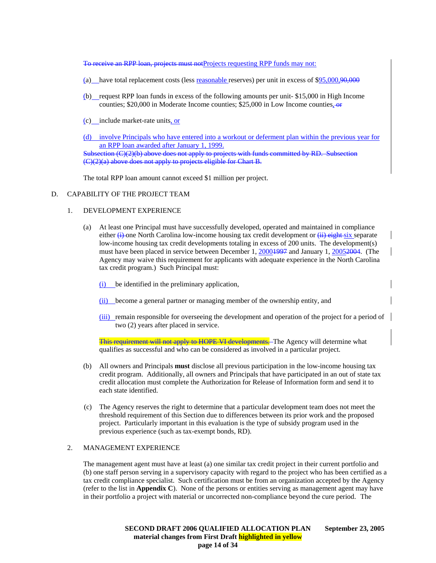To receive an RPP loan, projects must notProjects requesting RPP funds may not:

- (a) have total replacement costs (less reasonable reserves) per unit in excess of \$95,000,90,000
- (b) request RPP loan funds in excess of the following amounts per unit- \$15,000 in High Income counties; \$20,000 in Moderate Income counties; \$25,000 in Low Income counties,  $\Theta$
- (c) include market-rate units, or

(d) involve Principals who have entered into a workout or deferment plan within the previous year for an RPP loan awarded after January 1, 1999. Subsection (C)(2)(b) above does not apply to projects with funds committed by RD. Subsection (C)(2)(a) above does not apply to projects eligible for Chart B.

The total RPP loan amount cannot exceed \$1 million per project.

#### D. CAPABILITY OF THE PROJECT TEAM

### 1. DEVELOPMENT EXPERIENCE

- (a) At least one Principal must have successfully developed, operated and maintained in compliance either  $(i)$ -one North Carolina low-income housing tax credit development or  $(ii)$  eight-six separate low-income housing tax credit developments totaling in excess of 200 units. The development(s) must have been placed in service between December 1, 20004997 and January 1, 20052004. (The Agency may waive this requirement for applicants with adequate experience in the North Carolina tax credit program.) Such Principal must:
	- (i) be identified in the preliminary application,
	- (ii) become a general partner or managing member of the ownership entity, and
	- (iii) remain responsible for overseeing the development and operation of the project for a period of two (2) years after placed in service.

This requirement will not apply to HOPE VI developments. The Agency will determine what qualifies as successful and who can be considered as involved in a particular project.

- (b) All owners and Principals **must** disclose all previous participation in the low-income housing tax credit program. Additionally, all owners and Principals that have participated in an out of state tax credit allocation must complete the Authorization for Release of Information form and send it to each state identified.
- (c) The Agency reserves the right to determine that a particular development team does not meet the threshold requirement of this Section due to differences between its prior work and the proposed project. Particularly important in this evaluation is the type of subsidy program used in the previous experience (such as tax-exempt bonds, RD).

#### 2. MANAGEMENT EXPERIENCE

The management agent must have at least (a) one similar tax credit project in their current portfolio and (b) one staff person serving in a supervisory capacity with regard to the project who has been certified as a tax credit compliance specialist. Such certification must be from an organization accepted by the Agency (refer to the list in **Appendix C**). None of the persons or entities serving as management agent may have in their portfolio a project with material or uncorrected non-compliance beyond the cure period. The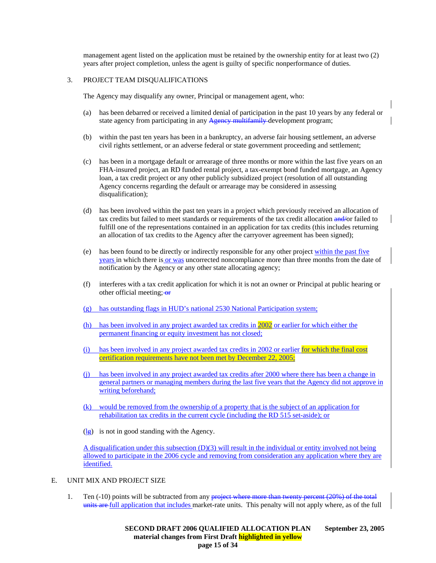management agent listed on the application must be retained by the ownership entity for at least two (2) years after project completion, unless the agent is guilty of specific nonperformance of duties.

### 3. PROJECT TEAM DISQUALIFICATIONS

The Agency may disqualify any owner, Principal or management agent, who:

- (a) has been debarred or received a limited denial of participation in the past 10 years by any federal or state agency from participating in any Agency multifamily development program;
- (b) within the past ten years has been in a bankruptcy, an adverse fair housing settlement, an adverse civil rights settlement, or an adverse federal or state government proceeding and settlement;
- (c) has been in a mortgage default or arrearage of three months or more within the last five years on an FHA-insured project, an RD funded rental project, a tax-exempt bond funded mortgage, an Agency loan, a tax credit project or any other publicly subsidized project (resolution of all outstanding Agency concerns regarding the default or arrearage may be considered in assessing disqualification);
- (d) has been involved within the past ten years in a project which previously received an allocation of tax credits but failed to meet standards or requirements of the tax credit allocation and/or failed to fulfill one of the representations contained in an application for tax credits (this includes returning an allocation of tax credits to the Agency after the carryover agreement has been signed);
- (e) has been found to be directly or indirectly responsible for any other project within the past five years in which there is or was uncorrected noncompliance more than three months from the date of notification by the Agency or any other state allocating agency;
- (f) interferes with a tax credit application for which it is not an owner or Principal at public hearing or other official meeting; or
- (g) has outstanding flags in HUD's national 2530 National Participation system;
- (h) has been involved in any project awarded tax credits in 2002 or earlier for which either the permanent financing or equity investment has not closed;
- (i) has been involved in any project awarded tax credits in 2002 or earlier for which the final cost certification requirements have not been met by December 22, 2005;
- (j) has been involved in any project awarded tax credits after 2000 where there has been a change in general partners or managing members during the last five years that the Agency did not approve in writing beforehand;
- (k) would be removed from the ownership of a property that is the subject of an application for rehabilitation tax credits in the current cycle (including the RD 515 set-aside); or
- $\left(\frac{1}{2}\right)$  is not in good standing with the Agency.

A disqualification under this subsection  $(D)(3)$  will result in the individual or entity involved not being allowed to participate in the 2006 cycle and removing from consideration any application where they are identified.

- E. UNIT MIX AND PROJECT SIZE
	- 1. Ten (-10) points will be subtracted from any project where more than twenty percent (20%) of the total units are full application that includes market-rate units. This penalty will not apply where, as of the full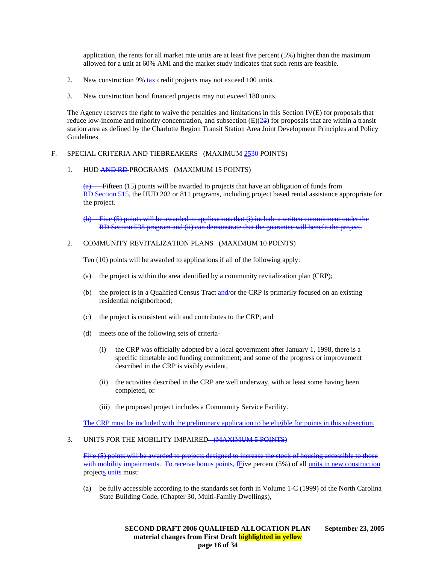application, the rents for all market rate units are at least five percent (5%) higher than the maximum allowed for a unit at 60% AMI and the market study indicates that such rents are feasible.

- 2. New construction 9% tax credit projects may not exceed 100 units.
- 3. New construction bond financed projects may not exceed 180 units.

The Agency reserves the right to waive the penalties and limitations in this Section IV(E) for proposals that reduce low-income and minority concentration, and subsection  $(E)(23)$  for proposals that are within a transit station area as defined by the Charlotte Region Transit Station Area Joint Development Principles and Policy Guidelines.

### F. SPECIAL CRITERIA AND TIEBREAKERS (MAXIMUM 2530 POINTS)

#### 1. HUD AND RD PROGRAMS (MAXIMUM 15 POINTS)

 $\overline{(a)}$  Fifteen (15) points will be awarded to projects that have an obligation of funds from RD Section 515, the HUD 202 or 811 programs, including project based rental assistance appropriate for the project.

Five (5) points will be awarded to applications that (i) include a written commitment under the RD Section 538 program and (ii) can demonstrate that the guarantee will benefit the project.

### 2. COMMUNITY REVITALIZATION PLANS (MAXIMUM 10 POINTS)

Ten (10) points will be awarded to applications if all of the following apply:

- (a) the project is within the area identified by a community revitalization plan (CRP);
- (b) the project is in a Qualified Census Tract and/or the CRP is primarily focused on an existing residential neighborhood;
- (c) the project is consistent with and contributes to the CRP; and
- (d) meets one of the following sets of criteria-
	- (i) the CRP was officially adopted by a local government after January 1, 1998, there is a specific timetable and funding commitment; and some of the progress or improvement described in the CRP is visibly evident,
	- (ii) the activities described in the CRP are well underway, with at least some having been completed, or
	- (iii) the proposed project includes a Community Service Facility.

The CRP must be included with the preliminary application to be eligible for points in this subsection.

# 3. UNITS FOR THE MOBILITY IMPAIRED—(MAXIMUM 5 POINTS)

Five (5) points will be awarded to projects designed to increase the stock of housing accessible to those with mobility impairments. To receive bonus points, fFive percent (5%) of all units in new construction projects units must:

(a) be fully accessible according to the standards set forth in Volume 1-C (1999) of the North Carolina State Building Code, (Chapter 30, Multi-Family Dwellings),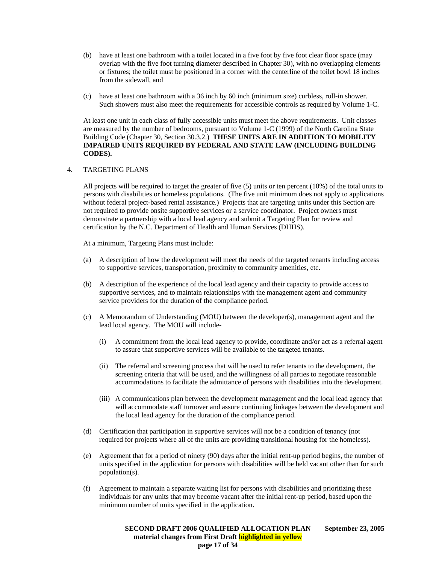- (b) have at least one bathroom with a toilet located in a five foot by five foot clear floor space (may overlap with the five foot turning diameter described in Chapter 30), with no overlapping elements or fixtures; the toilet must be positioned in a corner with the centerline of the toilet bowl 18 inches from the sidewall, and
- (c) have at least one bathroom with a 36 inch by 60 inch (minimum size) curbless, roll-in shower. Such showers must also meet the requirements for accessible controls as required by Volume 1-C.

At least one unit in each class of fully accessible units must meet the above requirements. Unit classes are measured by the number of bedrooms, pursuant to Volume 1-C (1999) of the North Carolina State Building Code (Chapter 30, Section 30.3.2.) **THESE UNITS ARE IN ADDITION TO MOBILITY IMPAIRED UNITS REQUIRED BY FEDERAL AND STATE LAW (INCLUDING BUILDING CODES).**

#### 4. TARGETING PLANS

All projects will be required to target the greater of five (5) units or ten percent (10%) of the total units to persons with disabilities or homeless populations. (The five unit minimum does not apply to applications without federal project-based rental assistance.) Projects that are targeting units under this Section are not required to provide onsite supportive services or a service coordinator. Project owners must demonstrate a partnership with a local lead agency and submit a Targeting Plan for review and certification by the N.C. Department of Health and Human Services (DHHS).

At a minimum, Targeting Plans must include:

- (a) A description of how the development will meet the needs of the targeted tenants including access to supportive services, transportation, proximity to community amenities, etc.
- (b) A description of the experience of the local lead agency and their capacity to provide access to supportive services, and to maintain relationships with the management agent and community service providers for the duration of the compliance period.
- (c) A Memorandum of Understanding (MOU) between the developer(s), management agent and the lead local agency. The MOU will include-
	- (i) A commitment from the local lead agency to provide, coordinate and/or act as a referral agent to assure that supportive services will be available to the targeted tenants.
	- (ii) The referral and screening process that will be used to refer tenants to the development, the screening criteria that will be used, and the willingness of all parties to negotiate reasonable accommodations to facilitate the admittance of persons with disabilities into the development.
	- (iii) A communications plan between the development management and the local lead agency that will accommodate staff turnover and assure continuing linkages between the development and the local lead agency for the duration of the compliance period.
- (d) Certification that participation in supportive services will not be a condition of tenancy (not required for projects where all of the units are providing transitional housing for the homeless).
- (e) Agreement that for a period of ninety (90) days after the initial rent-up period begins, the number of units specified in the application for persons with disabilities will be held vacant other than for such population(s).
- (f) Agreement to maintain a separate waiting list for persons with disabilities and prioritizing these individuals for any units that may become vacant after the initial rent-up period, based upon the minimum number of units specified in the application.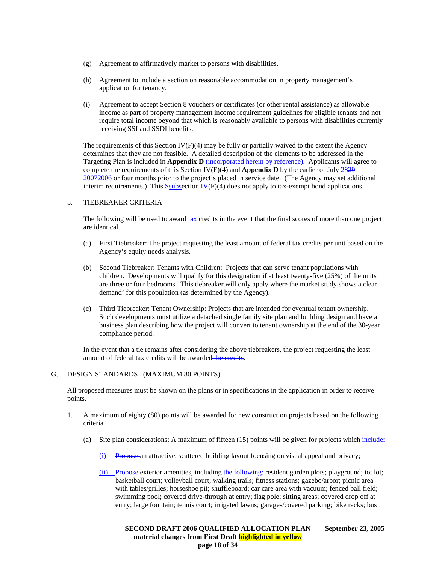- (g) Agreement to affirmatively market to persons with disabilities.
- (h) Agreement to include a section on reasonable accommodation in property management's application for tenancy.
- (i) Agreement to accept Section 8 vouchers or certificates (or other rental assistance) as allowable income as part of property management income requirement guidelines for eligible tenants and not require total income beyond that which is reasonably available to persons with disabilities currently receiving SSI and SSDI benefits.

The requirements of this Section  $IV(F)(4)$  may be fully or partially waived to the extent the Agency determines that they are not feasible. A detailed description of the elements to be addressed in the Targeting Plan is included in **Appendix D** (incorporated herein by reference). Applicants will agree to complete the requirements of this Section IV(F)(4) and **Appendix D** by the earlier of July 2829, 20072006 or four months prior to the project's placed in service date. (The Agency may set additional interim requirements.) This  $S_{subsection}$  IV(F)(4) does not apply to tax-exempt bond applications.

#### 5. TIEBREAKER CRITERIA

The following will be used to award tax credits in the event that the final scores of more than one project are identical.

- (a) First Tiebreaker: The project requesting the least amount of federal tax credits per unit based on the Agency's equity needs analysis.
- (b) Second Tiebreaker: Tenants with Children: Projects that can serve tenant populations with children. Developments will qualify for this designation if at least twenty-five (25%) of the units are three or four bedrooms. This tiebreaker will only apply where the market study shows a clear demand' for this population (as determined by the Agency).
- (c) Third Tiebreaker: Tenant Ownership: Projects that are intended for eventual tenant ownership. Such developments must utilize a detached single family site plan and building design and have a business plan describing how the project will convert to tenant ownership at the end of the 30-year compliance period.

In the event that a tie remains after considering the above tiebreakers, the project requesting the least amount of federal tax credits will be awarded the credits.

#### G. DESIGN STANDARDS (MAXIMUM 80 POINTS)

All proposed measures must be shown on the plans or in specifications in the application in order to receive points.

- 1. A maximum of eighty (80) points will be awarded for new construction projects based on the following criteria.
	- (a) Site plan considerations: A maximum of fifteen  $(15)$  points will be given for projects which include:
		- (i) Propose an attractive, scattered building layout focusing on visual appeal and privacy;
		- (ii) Propose-exterior amenities, including the following:-resident garden plots; playground; tot lot; basketball court; volleyball court; walking trails; fitness stations; gazebo/arbor; picnic area with tables/grilles; horseshoe pit; shuffleboard; car care area with vacuum; fenced ball field; swimming pool; covered drive-through at entry; flag pole; sitting areas; covered drop off at entry; large fountain; tennis court; irrigated lawns; garages/covered parking; bike racks; bus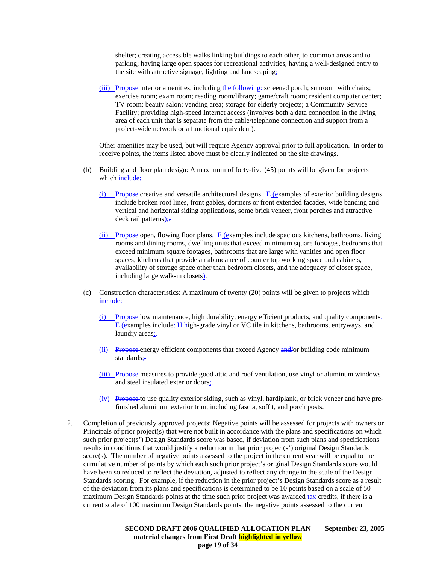shelter; creating accessible walks linking buildings to each other, to common areas and to parking; having large open spaces for recreational activities, having a well-designed entry to the site with attractive signage, lighting and landscaping;

(iii) Propose interior amenities, including the following: screened porch; sunroom with chairs; exercise room; exam room; reading room/library; game/craft room; resident computer center; TV room; beauty salon; vending area; storage for elderly projects; a Community Service Facility; providing high-speed Internet access (involves both a data connection in the living area of each unit that is separate from the cable/telephone connection and support from a project-wide network or a functional equivalent).

Other amenities may be used, but will require Agency approval prior to full application. In order to receive points, the items listed above must be clearly indicated on the site drawings.

- (b) Building and floor plan design: A maximum of forty-five (45) points will be given for projects which include:
	- $(i)$  Propose creative and versatile architectural designs. E (examples of exterior building designs include broken roof lines, front gables, dormers or front extended facades, wide banding and vertical and horizontal siding applications, some brick veneer, front porches and attractive deck rail patterns);
	- (ii) Propose open, flowing floor plans. E (examples include spacious kitchens, bathrooms, living rooms and dining rooms, dwelling units that exceed minimum square footages, bedrooms that exceed minimum square footages, bathrooms that are large with vanities and open floor spaces, kitchens that provide an abundance of counter top working space and cabinets, availability of storage space other than bedroom closets, and the adequacy of closet space, including large walk-in closets).
- (c) Construction characteristics: A maximum of twenty (20) points will be given to projects which include:
	- (i) Propose low maintenance, high durability, energy efficient products, and quality components. E (examples include: H high-grade vinyl or VC tile in kitchens, bathrooms, entryways, and laundry areas;-
	- (ii) Propose energy efficient components that exceed Agency and/or building code minimum standards;-
	- (iii) Propose measures to provide good attic and roof ventilation, use vinyl or aluminum windows and steel insulated exterior doors;-
	- (iv) Propose to use quality exterior siding, such as vinyl, hardiplank, or brick veneer and have prefinished aluminum exterior trim, including fascia, soffit, and porch posts.
- 2. Completion of previously approved projects: Negative points will be assessed for projects with owners or Principals of prior project(s) that were not built in accordance with the plans and specifications on which such prior project(s') Design Standards score was based, if deviation from such plans and specifications results in conditions that would justify a reduction in that prior project(s') original Design Standards score(s). The number of negative points assessed to the project in the current year will be equal to the cumulative number of points by which each such prior project's original Design Standards score would have been so reduced to reflect the deviation, adjusted to reflect any change in the scale of the Design Standards scoring. For example, if the reduction in the prior project's Design Standards score as a result of the deviation from its plans and specifications is determined to be 10 points based on a scale of 50 maximum Design Standards points at the time such prior project was awarded tax credits, if there is a current scale of 100 maximum Design Standards points, the negative points assessed to the current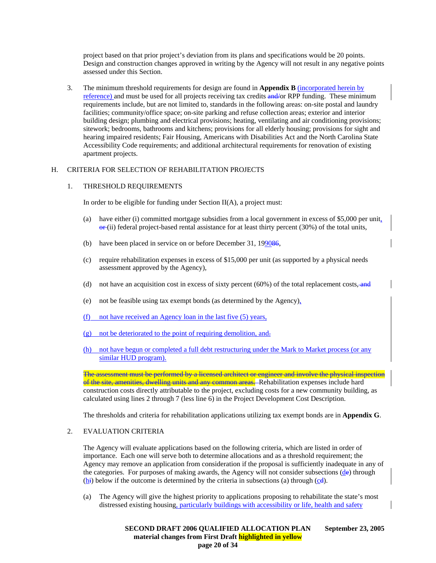project based on that prior project's deviation from its plans and specifications would be 20 points. Design and construction changes approved in writing by the Agency will not result in any negative points assessed under this Section.

3. The minimum threshold requirements for design are found in **Appendix B** (incorporated herein by reference) and must be used for all projects receiving tax credits and/or RPP funding. These minimum requirements include, but are not limited to, standards in the following areas: on-site postal and laundry facilities; community/office space; on-site parking and refuse collection areas; exterior and interior building design; plumbing and electrical provisions; heating, ventilating and air conditioning provisions; sitework; bedrooms, bathrooms and kitchens; provisions for all elderly housing; provisions for sight and hearing impaired residents; Fair Housing, Americans with Disabilities Act and the North Carolina State Accessibility Code requirements; and additional architectural requirements for renovation of existing apartment projects.

# H. CRITERIA FOR SELECTION OF REHABILITATION PROJECTS

# 1. THRESHOLD REQUIREMENTS

In order to be eligible for funding under Section  $II(A)$ , a project must:

- (a) have either (i) committed mortgage subsidies from a local government in excess of \$5,000 per unit,  $\Theta$ <sup>r</sup>(ii) federal project-based rental assistance for at least thirty percent (30%) of the total units,
- (b) have been placed in service on or before December 31, 199086,
- (c) require rehabilitation expenses in excess of \$15,000 per unit (as supported by a physical needs assessment approved by the Agency),
- (d) not have an acquisition cost in excess of sixty percent  $(60%)$  of the total replacement costs, and
- (e) not be feasible using tax exempt bonds (as determined by the Agency),
- (f) not have received an Agency loan in the last five (5) years,
- (g) not be deteriorated to the point of requiring demolition, and.
- (h) not have begun or completed a full debt restructuring under the Mark to Market process (or any similar HUD program).

The assessment must be performed by a licensed architect or engineer and involve the physical inspection of the site, amenities, dwelling units and any common areas. Rehabilitation expenses include hard construction costs directly attributable to the project, excluding costs for a new community building, as calculated using lines 2 through 7 (less line 6) in the Project Development Cost Description.

The thresholds and criteria for rehabilitation applications utilizing tax exempt bonds are in **Appendix G**.

# 2. EVALUATION CRITERIA

The Agency will evaluate applications based on the following criteria, which are listed in order of importance. Each one will serve both to determine allocations and as a threshold requirement; the Agency may remove an application from consideration if the proposal is sufficiently inadequate in any of the categories. For purposes of making awards, the Agency will not consider subsections (de) through  $(h<sub>i</sub>)$  below if the outcome is determined by the criteria in subsections (a) through (cd).

(a) The Agency will give the highest priority to applications proposing to rehabilitate the state's most distressed existing housing, particularly buildings with accessibility or life, health and safety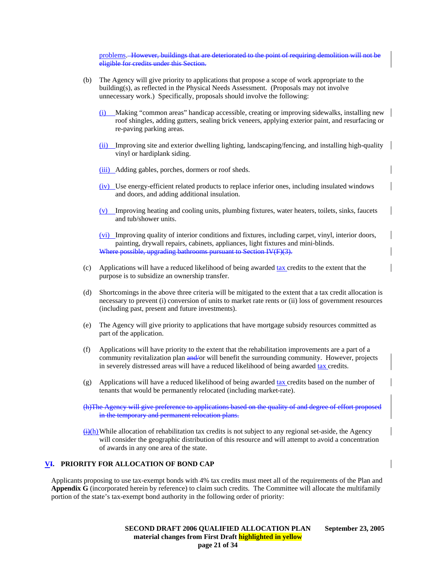problems. However, buildings that are deteriorated to the point of requiring demolition will not be eligible for credits under this Section.

- (b) The Agency will give priority to applications that propose a scope of work appropriate to the building(s), as reflected in the Physical Needs Assessment. (Proposals may not involve unnecessary work.) Specifically, proposals should involve the following:
	- (i) Making "common areas" handicap accessible, creating or improving sidewalks, installing new roof shingles, adding gutters, sealing brick veneers, applying exterior paint, and resurfacing or re-paving parking areas.
	- (ii) Improving site and exterior dwelling lighting, landscaping/fencing, and installing high-quality vinyl or hardiplank siding.
	- (iii) Adding gables, porches, dormers or roof sheds.
	- (iv) Use energy-efficient related products to replace inferior ones, including insulated windows and doors, and adding additional insulation.
	- $(v)$  Improving heating and cooling units, plumbing fixtures, water heaters, toilets, sinks, faucets and tub/shower units.

(vi) Improving quality of interior conditions and fixtures, including carpet, vinyl, interior doors, painting, drywall repairs, cabinets, appliances, light fixtures and mini-blinds. possible, upgrading bathrooms pursuant to Section IV(F)(3).

- (c) Applications will have a reduced likelihood of being awarded tax credits to the extent that the purpose is to subsidize an ownership transfer.
- (d) Shortcomings in the above three criteria will be mitigated to the extent that a tax credit allocation is necessary to prevent (i) conversion of units to market rate rents or (ii) loss of government resources (including past, present and future investments).
- (e) The Agency will give priority to applications that have mortgage subsidy resources committed as part of the application.
- (f) Applications will have priority to the extent that the rehabilitation improvements are a part of a community revitalization plan and/or will benefit the surrounding community. However, projects in severely distressed areas will have a reduced likelihood of being awarded tax credits.
- (g) Applications will have a reduced likelihood of being awarded tax credits based on the number of tenants that would be permanently relocated (including market-rate).

(h)The Agency will give preference to applications based on the quality of and degree of effort proposed in the temporary and permanent relocation plans.

 $\left(\frac{1}{\mathbf{H}}\right)$ While allocation of rehabilitation tax credits is not subject to any regional set-aside, the Agency will consider the geographic distribution of this resource and will attempt to avoid a concentration of awards in any one area of the state.

### **VI. PRIORITY FOR ALLOCATION OF BOND CAP**

Applicants proposing to use tax-exempt bonds with 4% tax credits must meet all of the requirements of the Plan and **Appendix G** (incorporated herein by reference) to claim such credits. The Committee will allocate the multifamily portion of the state's tax-exempt bond authority in the following order of priority: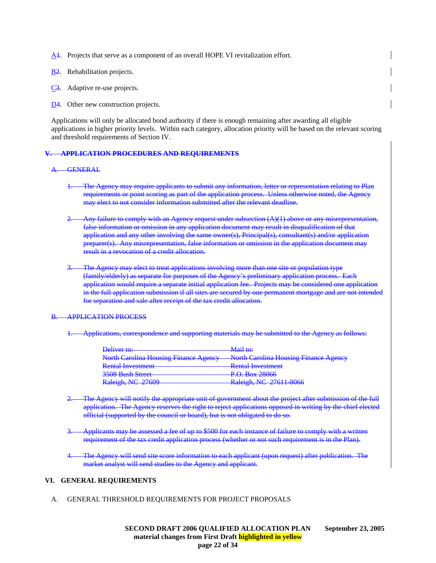- A<sub>1</sub>. Projects that serve as a component of an overall HOPE VI revitalization effort.
- B2. Rehabilitation projects.
- C<sub>3</sub>. Adaptive re-use projects.
- D<sub>4</sub>. Other new construction projects.

Applications will only be allocated bond authority if there is enough remaining after awarding all eligible applications in higher priority levels. Within each category, allocation priority will be based on the relevant scoring and threshold requirements of Section IV.

#### **V. APPLICATION PROCEDURES AND REQUIREMENTS**

#### A. GENERAL

- The Agency may require applicants to submit any information, letter or representation relating to Plan requirements or point scoring as part of the application process. Unless otherwise noted, the Agency may elect to not consider information submitted after the relevant deadline.
- Any failure to comply with an Agency request under subsection  $(A)(1)$  above or any misrepresentation, false information or omission in any application document may result in disqualification of that application and any other involving the same owner(s), Principal(s), consultant(s) and/or application preparer(s). Any misrepresentation, false information or omission in the application document may result in a revocation of a credit allocation.
- The Agency may elect to treat applications involving more than one site or population type (family/elderly) as separate for purposes of the Agency's preliminary application process. application would require a separate initial application fee. Projects may be considered one application in the full application submission if all sites are secured by one permanent mortgage and are not intended for separation and sale after receipt of the tax credit allocation.

#### B. APPLICATION PROCESS

1. Applications, correspondence and supporting materials may be submitted to the Agency as follows:

| Deliver to:                                                                 | <del>Mail to:</del>                                 |
|-----------------------------------------------------------------------------|-----------------------------------------------------|
| North Carolina Housing Finance Agency North Carolina Housing Finance Agency |                                                     |
| <b>Rental Investment</b>                                                    | <b>Pantal Invastment</b><br>Kondi mi ostmont        |
| <b>3508 Bush Street</b>                                                     | $P \cap R_{ov}$ 28066<br><del>I .U. DUA 20000</del> |
| Raleigh, NC 27609                                                           | Raleigh, NC 27611 8066                              |

- Agency will notify the appropriate unit of government about the project after application. The Agency reserves the right to reject applications opposed in writing by the chief elected official (supported by the council or board), but is not obligated to do so.
- 3. Applicants may be assessed a fee of up to \$500 for each instance of failure to comply with a written requirement of the tax credit application process (whether or not such requirement is in the Plan).
- The Agency will send site score information to each applicant (upon request) after publication. The market analyst will send studies to the Agency and applicant.

### **VI. GENERAL REQUIREMENTS**

A. GENERAL THRESHOLD REQUIREMENTS FOR PROJECT PROPOSALS

 **SECOND DRAFT 2006 QUALIFIED ALLOCATION PLAN September 23, 2005 material changes from First Draft highlighted in yellow page 22 of 34**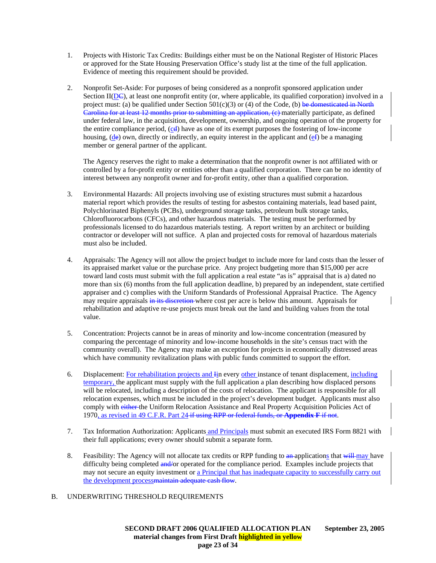- 1. Projects with Historic Tax Credits: Buildings either must be on the National Register of Historic Places or approved for the State Housing Preservation Office's study list at the time of the full application. Evidence of meeting this requirement should be provided.
- 2. Nonprofit Set-Aside: For purposes of being considered as a nonprofit sponsored application under Section II( $D\epsilon$ ), at least one nonprofit entity (or, where applicable, its qualified corporation) involved in a project must: (a) be qualified under Section  $501(c)(3)$  or (4) of the Code, (b) be domesticated in North Carolina for at least 12 months prior to submitting an application, (c) materially participate, as defined under federal law, in the acquisition, development, ownership, and ongoing operation of the property for the entire compliance period,  $(cd)$  have as one of its exempt purposes the fostering of low-income housing, (de) own, directly or indirectly, an equity interest in the applicant and  $(e^{\epsilon})$  be a managing member or general partner of the applicant.

The Agency reserves the right to make a determination that the nonprofit owner is not affiliated with or controlled by a for-profit entity or entities other than a qualified corporation. There can be no identity of interest between any nonprofit owner and for-profit entity, other than a qualified corporation.

- 3. Environmental Hazards: All projects involving use of existing structures must submit a hazardous material report which provides the results of testing for asbestos containing materials, lead based paint, Polychlorinated Biphenyls (PCBs), underground storage tanks, petroleum bulk storage tanks, Chlorofluorocarbons (CFCs), and other hazardous materials. The testing must be performed by professionals licensed to do hazardous materials testing. A report written by an architect or building contractor or developer will not suffice. A plan and projected costs for removal of hazardous materials must also be included.
- 4. Appraisals: The Agency will not allow the project budget to include more for land costs than the lesser of its appraised market value or the purchase price. Any project budgeting more than \$15,000 per acre toward land costs must submit with the full application a real estate "as is" appraisal that is a) dated no more than six (6) months from the full application deadline, b) prepared by an independent, state certified appraiser and c) complies with the Uniform Standards of Professional Appraisal Practice. The Agency may require appraisals in its discretion where cost per acre is below this amount. Appraisals for rehabilitation and adaptive re-use projects must break out the land and building values from the total value.
- 5. Concentration: Projects cannot be in areas of minority and low-income concentration (measured by comparing the percentage of minority and low-income households in the site's census tract with the community overall). The Agency may make an exception for projects in economically distressed areas which have community revitalization plans with public funds committed to support the effort.
- 6. Displacement: For rehabilitation projects and Iin every other instance of tenant displacement, including temporary, the applicant must supply with the full application a plan describing how displaced persons will be relocated, including a description of the costs of relocation. The applicant is responsible for all relocation expenses, which must be included in the project's development budget. Applicants must also comply with either the Uniform Relocation Assistance and Real Property Acquisition Policies Act of 1970, as revised in 49 C.F.R. Part 24 if using RPP or federal funds, or **Appendix F** if not.
- 7. Tax Information Authorization: Applicants and Principals must submit an executed IRS Form 8821 with their full applications; every owner should submit a separate form.
- 8. Feasibility: The Agency will not allocate tax credits or RPP funding to an applications that will may have difficulty being completed and/or operated for the compliance period. Examples include projects that may not secure an equity investment or a Principal that has inadequate capacity to successfully carry out the development processmaintain adequate cash flow.
- B. UNDERWRITING THRESHOLD REQUIREMENTS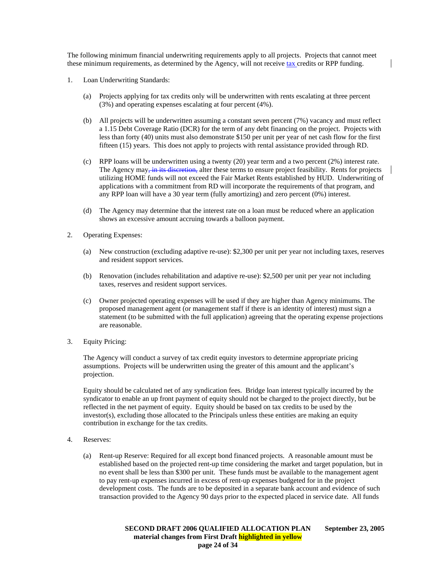The following minimum financial underwriting requirements apply to all projects. Projects that cannot meet these minimum requirements, as determined by the Agency, will not receive tax credits or RPP funding.

- 1. Loan Underwriting Standards:
	- (a) Projects applying for tax credits only will be underwritten with rents escalating at three percent (3%) and operating expenses escalating at four percent (4%).
	- (b) All projects will be underwritten assuming a constant seven percent (7%) vacancy and must reflect a 1.15 Debt Coverage Ratio (DCR) for the term of any debt financing on the project. Projects with less than forty (40) units must also demonstrate \$150 per unit per year of net cash flow for the first fifteen (15) years. This does not apply to projects with rental assistance provided through RD.
	- (c) RPP loans will be underwritten using a twenty (20) year term and a two percent (2%) interest rate. The Agency may, in its discretion, alter these terms to ensure project feasibility. Rents for projects utilizing HOME funds will not exceed the Fair Market Rents established by HUD. Underwriting of applications with a commitment from RD will incorporate the requirements of that program, and any RPP loan will have a 30 year term (fully amortizing) and zero percent (0%) interest.
	- (d) The Agency may determine that the interest rate on a loan must be reduced where an application shows an excessive amount accruing towards a balloon payment.
- 2. Operating Expenses:
	- (a) New construction (excluding adaptive re-use): \$2,300 per unit per year not including taxes, reserves and resident support services.
	- (b) Renovation (includes rehabilitation and adaptive re-use): \$2,500 per unit per year not including taxes, reserves and resident support services.
	- (c) Owner projected operating expenses will be used if they are higher than Agency minimums. The proposed management agent (or management staff if there is an identity of interest) must sign a statement (to be submitted with the full application) agreeing that the operating expense projections are reasonable.
- 3. Equity Pricing:

The Agency will conduct a survey of tax credit equity investors to determine appropriate pricing assumptions. Projects will be underwritten using the greater of this amount and the applicant's projection.

Equity should be calculated net of any syndication fees. Bridge loan interest typically incurred by the syndicator to enable an up front payment of equity should not be charged to the project directly, but be reflected in the net payment of equity. Equity should be based on tax credits to be used by the investor(s), excluding those allocated to the Principals unless these entities are making an equity contribution in exchange for the tax credits.

- 4. Reserves:
	- (a) Rent-up Reserve: Required for all except bond financed projects. A reasonable amount must be established based on the projected rent-up time considering the market and target population, but in no event shall be less than \$300 per unit. These funds must be available to the management agent to pay rent-up expenses incurred in excess of rent-up expenses budgeted for in the project development costs. The funds are to be deposited in a separate bank account and evidence of such transaction provided to the Agency 90 days prior to the expected placed in service date. All funds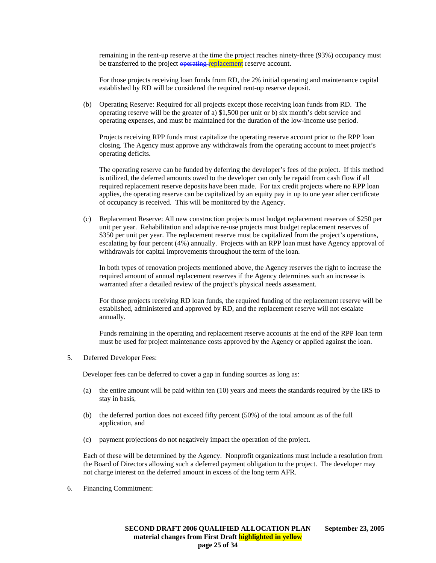remaining in the rent-up reserve at the time the project reaches ninety-three (93%) occupancy must be transferred to the project operating replacement reserve account.

For those projects receiving loan funds from RD, the 2% initial operating and maintenance capital established by RD will be considered the required rent-up reserve deposit.

(b) Operating Reserve: Required for all projects except those receiving loan funds from RD. The operating reserve will be the greater of a) \$1,500 per unit or b) six month's debt service and operating expenses, and must be maintained for the duration of the low-income use period.

Projects receiving RPP funds must capitalize the operating reserve account prior to the RPP loan closing. The Agency must approve any withdrawals from the operating account to meet project's operating deficits.

The operating reserve can be funded by deferring the developer's fees of the project. If this method is utilized, the deferred amounts owed to the developer can only be repaid from cash flow if all required replacement reserve deposits have been made. For tax credit projects where no RPP loan applies, the operating reserve can be capitalized by an equity pay in up to one year after certificate of occupancy is received. This will be monitored by the Agency.

(c) Replacement Reserve: All new construction projects must budget replacement reserves of \$250 per unit per year. Rehabilitation and adaptive re-use projects must budget replacement reserves of \$350 per unit per year. The replacement reserve must be capitalized from the project's operations, escalating by four percent (4%) annually. Projects with an RPP loan must have Agency approval of withdrawals for capital improvements throughout the term of the loan.

 In both types of renovation projects mentioned above, the Agency reserves the right to increase the required amount of annual replacement reserves if the Agency determines such an increase is warranted after a detailed review of the project's physical needs assessment.

 For those projects receiving RD loan funds, the required funding of the replacement reserve will be established, administered and approved by RD, and the replacement reserve will not escalate annually.

 Funds remaining in the operating and replacement reserve accounts at the end of the RPP loan term must be used for project maintenance costs approved by the Agency or applied against the loan.

5. Deferred Developer Fees:

Developer fees can be deferred to cover a gap in funding sources as long as:

- (a) the entire amount will be paid within ten (10) years and meets the standards required by the IRS to stay in basis,
- (b) the deferred portion does not exceed fifty percent (50%) of the total amount as of the full application, and
- (c) payment projections do not negatively impact the operation of the project.

Each of these will be determined by the Agency. Nonprofit organizations must include a resolution from the Board of Directors allowing such a deferred payment obligation to the project. The developer may not charge interest on the deferred amount in excess of the long term AFR.

6. Financing Commitment: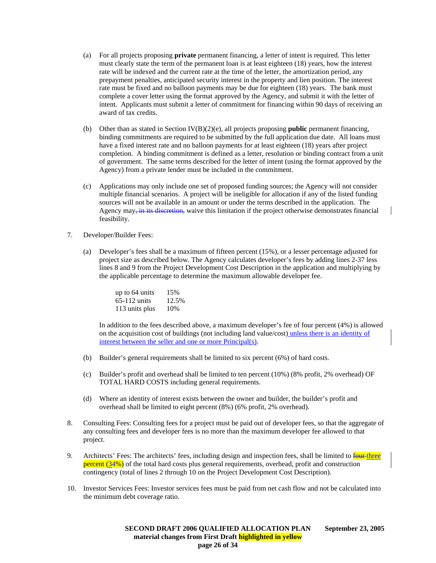- (a) For all projects proposing **private** permanent financing, a letter of intent is required. This letter must clearly state the term of the permanent loan is at least eighteen (18) years, how the interest rate will be indexed and the current rate at the time of the letter, the amortization period, any prepayment penalties, anticipated security interest in the property and lien position. The interest rate must be fixed and no balloon payments may be due for eighteen (18) years. The bank must complete a cover letter using the format approved by the Agency, and submit it with the letter of intent. Applicants must submit a letter of commitment for financing within 90 days of receiving an award of tax credits.
- (b) Other than as stated in Section IV(B)(2)(e), all projects proposing **public** permanent financing, binding commitments are required to be submitted by the full application due date. All loans must have a fixed interest rate and no balloon payments for at least eighteen (18) years after project completion. A binding commitment is defined as a letter, resolution or binding contract from a unit of government. The same terms described for the letter of intent (using the format approved by the Agency) from a private lender must be included in the commitment.
- (c) Applications may only include one set of proposed funding sources; the Agency will not consider multiple financial scenarios. A project will be ineligible for allocation if any of the listed funding sources will not be available in an amount or under the terms described in the application. The Agency may, in its discretion, waive this limitation if the project otherwise demonstrates financial feasibility.
- 7. Developer/Builder Fees:
	- (a) Developer's fees shall be a maximum of fifteen percent (15%), or a lesser percentage adjusted for project size as described below. The Agency calculates developer's fees by adding lines 2-37 less lines 8 and 9 from the Project Development Cost Description in the application and multiplying by the applicable percentage to determine the maximum allowable developer fee.

| up to 64 units | 15%   |
|----------------|-------|
| $65-112$ units | 12.5% |
| 113 units plus | 10%   |

In addition to the fees described above, a maximum developer's fee of four percent (4%) is allowed on the acquisition cost of buildings (not including land value/cost) unless there is an identity of interest between the seller and one or more Principal(s).

- (b) Builder's general requirements shall be limited to six percent (6%) of hard costs.
- (c) Builder's profit and overhead shall be limited to ten percent (10%) (8% profit, 2% overhead) OF TOTAL HARD COSTS including general requirements.
- (d) Where an identity of interest exists between the owner and builder, the builder's profit and overhead shall be limited to eight percent (8%) (6% profit, 2% overhead).
- 8. Consulting Fees: Consulting fees for a project must be paid out of developer fees, so that the aggregate of any consulting fees and developer fees is no more than the maximum developer fee allowed to that project.
- 9. Architects' Fees: The architects' fees, including design and inspection fees, shall be limited to four three percent  $(34%)$  of the total hard costs plus general requirements, overhead, profit and construction contingency (total of lines 2 through 10 on the Project Development Cost Description).
- 10. Investor Services Fees: Investor services fees must be paid from net cash flow and not be calculated into the minimum debt coverage ratio.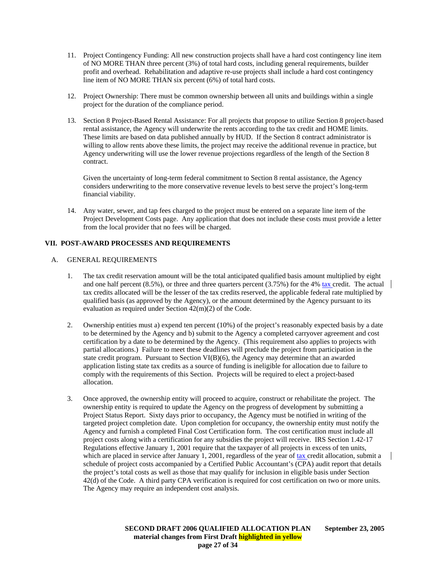- 11. Project Contingency Funding: All new construction projects shall have a hard cost contingency line item of NO MORE THAN three percent (3%) of total hard costs, including general requirements, builder profit and overhead. Rehabilitation and adaptive re-use projects shall include a hard cost contingency line item of NO MORE THAN six percent (6%) of total hard costs.
- 12. Project Ownership: There must be common ownership between all units and buildings within a single project for the duration of the compliance period.
- 13. Section 8 Project-Based Rental Assistance: For all projects that propose to utilize Section 8 project-based rental assistance, the Agency will underwrite the rents according to the tax credit and HOME limits. These limits are based on data published annually by HUD. If the Section 8 contract administrator is willing to allow rents above these limits, the project may receive the additional revenue in practice, but Agency underwriting will use the lower revenue projections regardless of the length of the Section 8 contract.

Given the uncertainty of long-term federal commitment to Section 8 rental assistance, the Agency considers underwriting to the more conservative revenue levels to best serve the project's long-term financial viability.

14. Any water, sewer, and tap fees charged to the project must be entered on a separate line item of the Project Development Costs page. Any application that does not include these costs must provide a letter from the local provider that no fees will be charged.

# **VII. POST-AWARD PROCESSES AND REQUIREMENTS**

# A. GENERAL REQUIREMENTS

- 1. The tax credit reservation amount will be the total anticipated qualified basis amount multiplied by eight and one half percent (8.5%), or three and three quarters percent (3.75%) for the 4% tax credit. The actual tax credits allocated will be the lesser of the tax credits reserved, the applicable federal rate multiplied by qualified basis (as approved by the Agency), or the amount determined by the Agency pursuant to its evaluation as required under Section 42(m)(2) of the Code.
- 2. Ownership entities must a) expend ten percent (10%) of the project's reasonably expected basis by a date to be determined by the Agency and b) submit to the Agency a completed carryover agreement and cost certification by a date to be determined by the Agency. (This requirement also applies to projects with partial allocations.) Failure to meet these deadlines will preclude the project from participation in the state credit program. Pursuant to Section  $VI(B)(6)$ , the Agency may determine that an awarded application listing state tax credits as a source of funding is ineligible for allocation due to failure to comply with the requirements of this Section. Projects will be required to elect a project-based allocation.
- 3. Once approved, the ownership entity will proceed to acquire, construct or rehabilitate the project. The ownership entity is required to update the Agency on the progress of development by submitting a Project Status Report. Sixty days prior to occupancy, the Agency must be notified in writing of the targeted project completion date. Upon completion for occupancy, the ownership entity must notify the Agency and furnish a completed Final Cost Certification form. The cost certification must include all project costs along with a certification for any subsidies the project will receive. IRS Section 1.42-17 Regulations effective January 1, 2001 require that the taxpayer of all projects in excess of ten units, which are placed in service after January 1, 2001, regardless of the year of tax credit allocation, submit a schedule of project costs accompanied by a Certified Public Accountant's (CPA) audit report that details the project's total costs as well as those that may qualify for inclusion in eligible basis under Section 42(d) of the Code. A third party CPA verification is required for cost certification on two or more units. The Agency may require an independent cost analysis.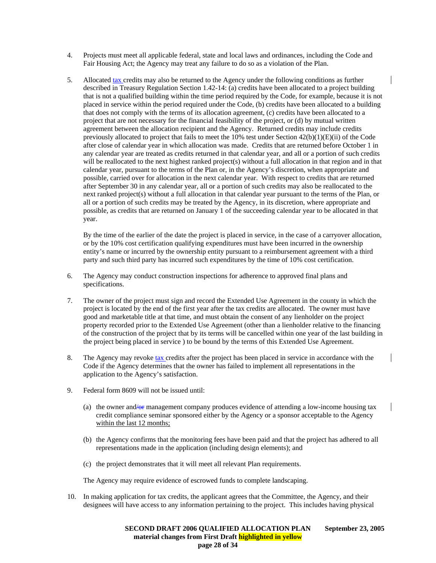- 4. Projects must meet all applicable federal, state and local laws and ordinances, including the Code and Fair Housing Act; the Agency may treat any failure to do so as a violation of the Plan.
- 5. Allocated tax credits may also be returned to the Agency under the following conditions as further described in Treasury Regulation Section 1.42-14: (a) credits have been allocated to a project building that is not a qualified building within the time period required by the Code, for example, because it is not placed in service within the period required under the Code, (b) credits have been allocated to a building that does not comply with the terms of its allocation agreement, (c) credits have been allocated to a project that are not necessary for the financial feasibility of the project, or (d) by mutual written agreement between the allocation recipient and the Agency. Returned credits may include credits previously allocated to project that fails to meet the 10% test under Section 42(b)(1)(E)(ii) of the Code after close of calendar year in which allocation was made. Credits that are returned before October 1 in any calendar year are treated as credits returned in that calendar year, and all or a portion of such credits will be reallocated to the next highest ranked project(s) without a full allocation in that region and in that calendar year, pursuant to the terms of the Plan or, in the Agency's discretion, when appropriate and possible, carried over for allocation in the next calendar year. With respect to credits that are returned after September 30 in any calendar year, all or a portion of such credits may also be reallocated to the next ranked project(s) without a full allocation in that calendar year pursuant to the terms of the Plan, or all or a portion of such credits may be treated by the Agency, in its discretion, where appropriate and possible, as credits that are returned on January 1 of the succeeding calendar year to be allocated in that year.

By the time of the earlier of the date the project is placed in service, in the case of a carryover allocation, or by the 10% cost certification qualifying expenditures must have been incurred in the ownership entity's name or incurred by the ownership entity pursuant to a reimbursement agreement with a third party and such third party has incurred such expenditures by the time of 10% cost certification.

- 6. The Agency may conduct construction inspections for adherence to approved final plans and specifications.
- 7. The owner of the project must sign and record the Extended Use Agreement in the county in which the project is located by the end of the first year after the tax credits are allocated. The owner must have good and marketable title at that time, and must obtain the consent of any lienholder on the project property recorded prior to the Extended Use Agreement (other than a lienholder relative to the financing of the construction of the project that by its terms will be cancelled within one year of the last building in the project being placed in service ) to be bound by the terms of this Extended Use Agreement.
- 8. The Agency may revoke tax credits after the project has been placed in service in accordance with the Code if the Agency determines that the owner has failed to implement all representations in the application to the Agency's satisfaction.
- 9. Federal form 8609 will not be issued until:
	- (a) the owner and/or management company produces evidence of attending a low-income housing tax credit compliance seminar sponsored either by the Agency or a sponsor acceptable to the Agency within the last 12 months;
	- (b) the Agency confirms that the monitoring fees have been paid and that the project has adhered to all representations made in the application (including design elements); and
	- (c) the project demonstrates that it will meet all relevant Plan requirements.

The Agency may require evidence of escrowed funds to complete landscaping.

10. In making application for tax credits, the applicant agrees that the Committee, the Agency, and their designees will have access to any information pertaining to the project. This includes having physical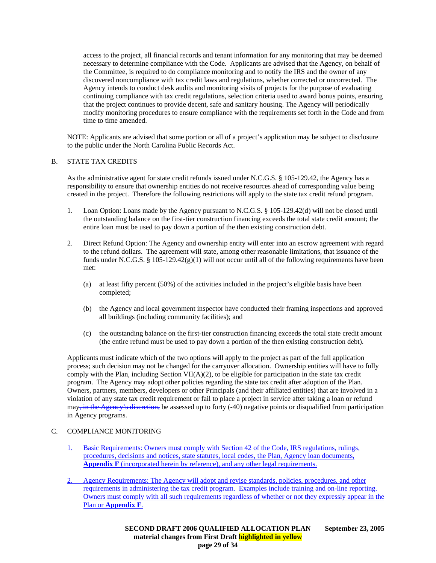access to the project, all financial records and tenant information for any monitoring that may be deemed necessary to determine compliance with the Code. Applicants are advised that the Agency, on behalf of the Committee, is required to do compliance monitoring and to notify the IRS and the owner of any discovered noncompliance with tax credit laws and regulations, whether corrected or uncorrected. The Agency intends to conduct desk audits and monitoring visits of projects for the purpose of evaluating continuing compliance with tax credit regulations, selection criteria used to award bonus points, ensuring that the project continues to provide decent, safe and sanitary housing. The Agency will periodically modify monitoring procedures to ensure compliance with the requirements set forth in the Code and from time to time amended.

NOTE: Applicants are advised that some portion or all of a project's application may be subject to disclosure to the public under the North Carolina Public Records Act.

### B. STATE TAX CREDITS

As the administrative agent for state credit refunds issued under N.C.G.S. § 105-129.42, the Agency has a responsibility to ensure that ownership entities do not receive resources ahead of corresponding value being created in the project. Therefore the following restrictions will apply to the state tax credit refund program.

- 1. Loan Option: Loans made by the Agency pursuant to N.C.G.S. § 105-129.42(d) will not be closed until the outstanding balance on the first-tier construction financing exceeds the total state credit amount; the entire loan must be used to pay down a portion of the then existing construction debt.
- 2. Direct Refund Option: The Agency and ownership entity will enter into an escrow agreement with regard to the refund dollars. The agreement will state, among other reasonable limitations, that issuance of the funds under N.C.G.S. § 105-129.42 $(g)(1)$  will not occur until all of the following requirements have been met:
	- (a) at least fifty percent (50%) of the activities included in the project's eligible basis have been completed;
	- (b) the Agency and local government inspector have conducted their framing inspections and approved all buildings (including community facilities); and
	- (c) the outstanding balance on the first-tier construction financing exceeds the total state credit amount (the entire refund must be used to pay down a portion of the then existing construction debt).

Applicants must indicate which of the two options will apply to the project as part of the full application process; such decision may not be changed for the carryover allocation. Ownership entities will have to fully comply with the Plan, including Section VII( $A$ )(2), to be eligible for participation in the state tax credit program. The Agency may adopt other policies regarding the state tax credit after adoption of the Plan. Owners, partners, members, developers or other Principals (and their affiliated entities) that are involved in a violation of any state tax credit requirement or fail to place a project in service after taking a loan or refund  $\max_{\tau}$  in the Agency's discretion, be assessed up to forty (-40) negative points or disqualified from participation in Agency programs.

#### C. COMPLIANCE MONITORING

- 1. Basic Requirements: Owners must comply with Section 42 of the Code, IRS regulations, rulings, procedures, decisions and notices, state statutes, local codes, the Plan, Agency loan documents, **Appendix F** (incorporated herein by reference), and any other legal requirements.
- 2. Agency Requirements: The Agency will adopt and revise standards, policies, procedures, and other requirements in administering the tax credit program. Examples include training and on-line reporting. Owners must comply with all such requirements regardless of whether or not they expressly appear in the Plan or **Appendix F**.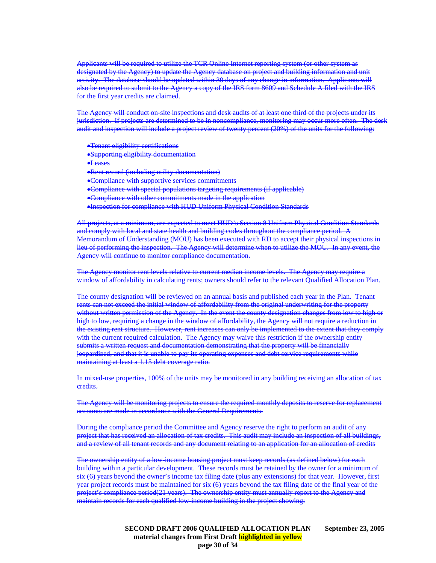Applicants will be required to utilize the TCR Online Internet reporting system (or other system as designated by the Agency) to update the Agency database on project and building information and unit activity. The database should be updated within 30 days of any change in information. Applicants will also be required to submit to the Agency a copy of the IRS form 8609 and Schedule A filed with the IRS for the first year credits are claimed.

The Agency will conduct on site inspections and desk audits of at least one third of the projects under its jurisdiction. If projects are determined to be in noncompliance, monitoring may occur more often. The desk audit and inspection will include a project review of twenty percent (20%) of the units for the following:

- •Tenant eligibility certifications
- •Supporting eligibility documentation
- •Leases
- •Rent record (including utility documentation)
- •Compliance with supportive services commitments
- •Compliance with special populations targeting requirements (if applicable)
- •Compliance with other commitments made in the application
- •Inspection for compliance with HUD Uniform Physical Condition Standards

All projects, at a minimum, are expected to meet HUD's Section 8 Uniform Physical Condition Standards and comply with local and state health and building codes throughout the compliance period. A Memorandum of Understanding (MOU) has been executed with RD to accept their physical inspections in lieu of performing the inspection. The Agency will determine when to utilize the MOU. In any event, the Agency will continue to monitor compliance documentation.

The Agency monitor rent levels relative to current median income levels. The Agency may require a window of affordability in calculating rents; owners should refer to the relevant Qualified Allocation Plan.

The county designation will be reviewed on an annual basis and published each year in the Plan. Tenant rents can not exceed the initial window of affordability from the original underwriting for the property without written permission of the Agency. In the event the county designation changes from low to high or high to low, requiring a change in the window of affordability, the Agency will not require a reduction in the existing rent structure. However, rent increases can only be implemented to the extent that they comply with the current required calculation. The Agency may waive this restriction if the ownership entity submits a written request and documentation demonstrating that the property will be financially jeopardized, and that it is unable to pay its operating expenses and debt service requirements while maintaining at least a 1.15 debt coverage ratio.

In mixed-use properties, 100% of the units may be monitored in any building receiving an allocation of tax credits.

The Agency will be monitoring projects to ensure the required monthly deposits to reserve for replacement accounts are made in accordance with the General Requirements.

During the compliance period the Committee and Agency reserve the right to perform an audit of any project that has received an allocation of tax credits. This audit may include an inspection of all buildings, and a review of all tenant records and any document relating to an application for an allocation of credits

The ownership entity of a low-income housing project must keep records (as defined below) for each building within a particular development. These records must be retained by the owner for a minimum of six (6) years beyond the owner's income tax filing date (plus any extensions) for that year. However, first year project records must be maintained for six (6) years beyond the tax filing date of the final year of the ect's compliance period(21 years). The ownership entity must annually report to the Agency and maintain records for each qualified low-income building in the project showing: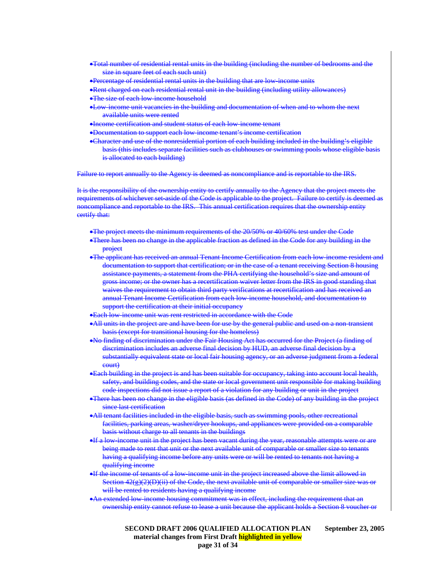- •Total number of residential rental units in the building (including the number of bedrooms and the size in square feet of each such unit)
- •Percentage of residential rental units in the building that are low-income units
- •Rent charged on each residential rental unit in the building (including utility allowances)
- **•The size of each low income household**
- •Low-income unit vacancies in the building and documentation of when and to whom the next available units were rented
- •Income certification and student status of each low-income tenant
- •Documentation to support each low-income tenant's income certification
- •Character and use of the nonresidential portion of each building included in the building's eligible basis (this includes separate facilities such as clubhouses or swimming pools whose eligible basis is allocated to each building)

Failure to report annually to the Agency is deemed as noncompliance and is reportable to the IRS.

It is the responsibility of the ownership entity to certify annually to the Agency that the project meets the requirements of whichever set-aside of the Code is applicable to the project. Failure to certify is deemed as noncompliance and reportable to the IRS. This annual certification requires that the ownership entity certify that:

- •The project meets the minimum requirements of the 20/50% or 40/60% test under the Code
- •There has been no change in the applicable fraction as defined in the Code for any building in the **project**
- •The applicant has received an annual Tenant Income Certification from each low-income resident and documentation to support that certification; or in the case of a tenant receiving Section 8 housing assistance payments, a statement from the PHA certifying the household's size and amount of gross income; or the owner has a recertification waiver letter from the IRS in good standing that waives the requirement to obtain third party verifications at recertification and has received an annual Tenant Income Certification from each low-income household, and documentation to support the certification at their initial occupancy
- •Each low-income unit was rent restricted in accordance with the Code
- •All units in the project are and have been for use by the general public and used on a non-transient basis (except for transitional housing for the homeless)
- •No finding of discrimination under the Fair Housing Act has occurred for the Project (a finding of discrimination includes an adverse final decision by HUD, an adverse final decision by a substantially equivalent state or local fair housing agency, or an adverse judgment from a federal court)
- •Each building in the project is and has been suitable for occupancy, taking into account local health, safety, and building codes, and the state or local government unit responsible for making building code inspections did not issue a report of a violation for any building or unit in the project
- •There has been no change in the eligible basis (as defined in the Code) of any building in the project since last certification
- •All tenant facilities included in the eligible basis, such as swimming pools, other recreational facilities, parking areas, washer/dryer hookups, and appliances were provided on a comparable basis without charge to all tenants in the buildings
- •If a low-income unit in the project has been vacant during the year, reasonable attempts were or are being made to rent that unit or the next available unit of comparable or smaller size to tenants having a qualifying income before any units were or will be rented to tenants not having a qualifying income
- •If the income of tenants of a low-income unit in the project increased above the limit allowed in Section 42(g)(2)(D)(ii) of the Code, the next available unit of comparable or smaller size was or will be rented to residents having a qualifying income
- •An extended low-income housing commitment was in effect, including the requirement that an ownership entity cannot refuse to lease a unit because the applicant holds a Section 8 voucher or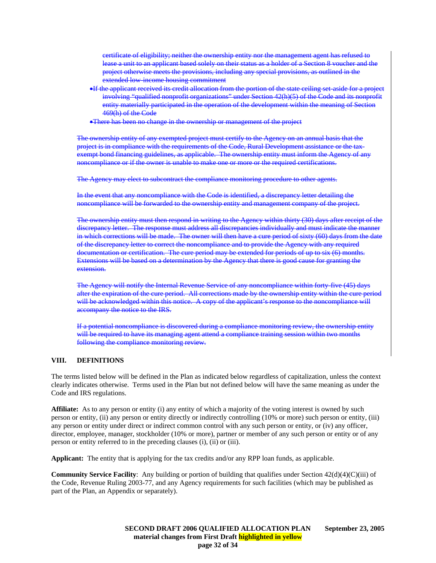certificate of eligibility; neither the ownership entity nor the management agent has refused to lease a unit to an applicant based solely on their status as a holder of a Section 8 voucher and the project otherwise meets the provisions, including any special provisions, as outlined in the extended low-income housing commitment

- •If the applicant received its credit allocation from the portion of the state ceiling set-aside for a project involving "qualified nonprofit organizations" under Section 42(h)(5) of the Code and its nonprofit entity materially participated in the operation of the development within the meaning of Section 469(h) of the Code
- •There has been no change in the ownership or management of the project

The ownership entity of any exempted project must certify to the Agency on an annual basis that the project is in compliance with the requirements of the Code, Rural Development assistance or the taxexempt bond financing guidelines, as applicable. The ownership entity must inform the Agency of any noncompliance or if the owner is unable to make one or more or the required certifications.

The Agency may elect to subcontract the compliance monitoring procedure to other agents.

In the event that any noncompliance with the Code is identified, a discrepancy letter detailing the noncompliance will be forwarded to the ownership entity and management company of the proje

The ownership entity must then respond in writing to the Agency within thirty (30) days after receipt of the discrepancy letter. The response must address all discrepancies individually and must indicate the manner in which corrections will be made. The owner will then have a cure period of sixty (60) days from the date of the discrepancy letter to correct the noncompliance and to provide the Agency with any required documentation or certification. The cure period may be extended for periods of up to six (6) months. Extensions will be based on a determination by the Agency that there is good cause for granting the extension.

The Agency will notify the Internal Revenue Service of any noncompliance within forty five (45) days after the expiration of the cure period. All corrections made by the ownership entity within the cure period will be acknowledged within this notice. A copy of the applicant's response to the noncompliance will accompany the notice to the IRS.

If a potential noncompliance is discovered during a compliance monitoring review, the ownership entity will be required to have its managing agent attend a compliance training session within two months following the compliance monitoring review.

#### **VIII. DEFINITIONS**

The terms listed below will be defined in the Plan as indicated below regardless of capitalization, unless the context clearly indicates otherwise. Terms used in the Plan but not defined below will have the same meaning as under the Code and IRS regulations.

**Affiliate:** As to any person or entity (i) any entity of which a majority of the voting interest is owned by such person or entity, (ii) any person or entity directly or indirectly controlling (10% or more) such person or entity, (iii) any person or entity under direct or indirect common control with any such person or entity, or (iv) any officer, director, employee, manager, stockholder (10% or more), partner or member of any such person or entity or of any person or entity referred to in the preceding clauses (i), (ii) or (iii).

**Applicant:** The entity that is applying for the tax credits and/or any RPP loan funds, as applicable.

**Community Service Facility**: Any building or portion of building that qualifies under Section 42(d)(4)(C)(iii) of the Code, Revenue Ruling 2003-77, and any Agency requirements for such facilities (which may be published as part of the Plan, an Appendix or separately).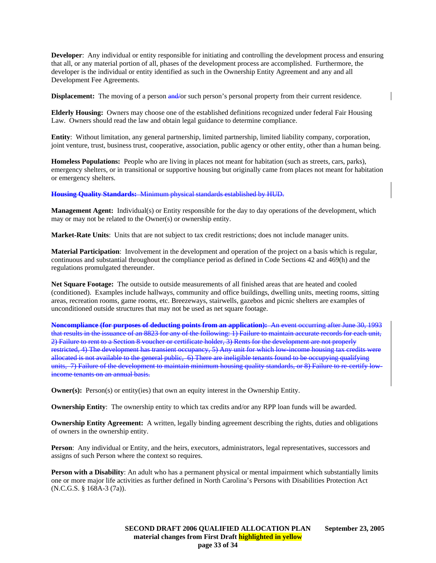**Developer**: Any individual or entity responsible for initiating and controlling the development process and ensuring that all, or any material portion of all, phases of the development process are accomplished. Furthermore, the developer is the individual or entity identified as such in the Ownership Entity Agreement and any and all Development Fee Agreements.

**Displacement:** The moving of a person and/or such person's personal property from their current residence.

**Elderly Housing:** Owners may choose one of the established definitions recognized under federal Fair Housing Law. Owners should read the law and obtain legal guidance to determine compliance.

**Entity**: Without limitation, any general partnership, limited partnership, limited liability company, corporation, joint venture, trust, business trust, cooperative, association, public agency or other entity, other than a human being.

**Homeless Populations:** People who are living in places not meant for habitation (such as streets, cars, parks), emergency shelters, or in transitional or supportive housing but originally came from places not meant for habitation or emergency shelters.

**Housing Quality Standards:** Minimum physical standards established by HUD.

**Management Agent:** Individual(s) or Entity responsible for the day to day operations of the development, which may or may not be related to the Owner(s) or ownership entity.

**Market-Rate Units**: Units that are not subject to tax credit restrictions; does not include manager units.

**Material Participation**: Involvement in the development and operation of the project on a basis which is regular, continuous and substantial throughout the compliance period as defined in Code Sections 42 and 469(h) and the regulations promulgated thereunder.

**Net Square Footage:** The outside to outside measurements of all finished areas that are heated and cooled (conditioned). Examples include hallways, community and office buildings, dwelling units, meeting rooms, sitting areas, recreation rooms, game rooms, etc. Breezeways, stairwells, gazebos and picnic shelters are examples of unconditioned outside structures that may not be used as net square footage.

**Noncompliance (for purposes of deducting points from an application):** An event occurring after June 30, 1993 that results in the issuance of an 8823 for any of the following: 1) Failure to maintain accurate records for each unit, 2) Failure to rent to a Section 8 voucher or certificate holder, 3) Rents for the development are not properly restricted, 4) The development has transient occupancy, 5) Any unit for which low-income housing tax credits were allocated is not available to the general public, 6) There are ineligible tenants found to be occupying qualifying units, 7) Failure of the development to maintain minimum housing quality standards, or 8) Failure to re-certify lowincome tenants on an annual basis.

**Owner(s):** Person(s) or entity(ies) that own an equity interest in the Ownership Entity.

**Ownership Entity**: The ownership entity to which tax credits and/or any RPP loan funds will be awarded.

**Ownership Entity Agreement:** A written, legally binding agreement describing the rights, duties and obligations of owners in the ownership entity.

**Person**: Any individual or Entity, and the heirs, executors, administrators, legal representatives, successors and assigns of such Person where the context so requires.

**Person with a Disability**: An adult who has a permanent physical or mental impairment which substantially limits one or more major life activities as further defined in North Carolina's Persons with Disabilities Protection Act (N.C.G.S. § 168A-3 (7a)).